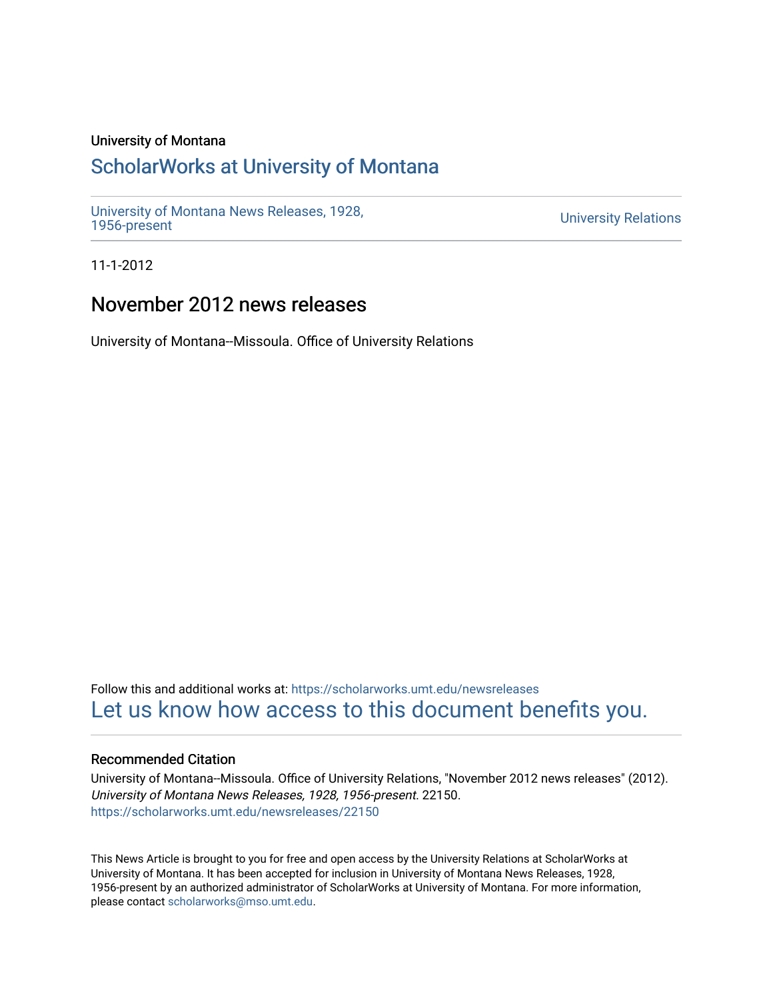# University of Montana

# [ScholarWorks at University of Montana](https://scholarworks.umt.edu/)

[University of Montana News Releases, 1928,](https://scholarworks.umt.edu/newsreleases) 

**University Relations** 

11-1-2012

# November 2012 news releases

University of Montana--Missoula. Office of University Relations

Follow this and additional works at: [https://scholarworks.umt.edu/newsreleases](https://scholarworks.umt.edu/newsreleases?utm_source=scholarworks.umt.edu%2Fnewsreleases%2F22150&utm_medium=PDF&utm_campaign=PDFCoverPages) [Let us know how access to this document benefits you.](https://goo.gl/forms/s2rGfXOLzz71qgsB2) 

# Recommended Citation

University of Montana--Missoula. Office of University Relations, "November 2012 news releases" (2012). University of Montana News Releases, 1928, 1956-present. 22150. [https://scholarworks.umt.edu/newsreleases/22150](https://scholarworks.umt.edu/newsreleases/22150?utm_source=scholarworks.umt.edu%2Fnewsreleases%2F22150&utm_medium=PDF&utm_campaign=PDFCoverPages) 

This News Article is brought to you for free and open access by the University Relations at ScholarWorks at University of Montana. It has been accepted for inclusion in University of Montana News Releases, 1928, 1956-present by an authorized administrator of ScholarWorks at University of Montana. For more information, please contact [scholarworks@mso.umt.edu.](mailto:scholarworks@mso.umt.edu)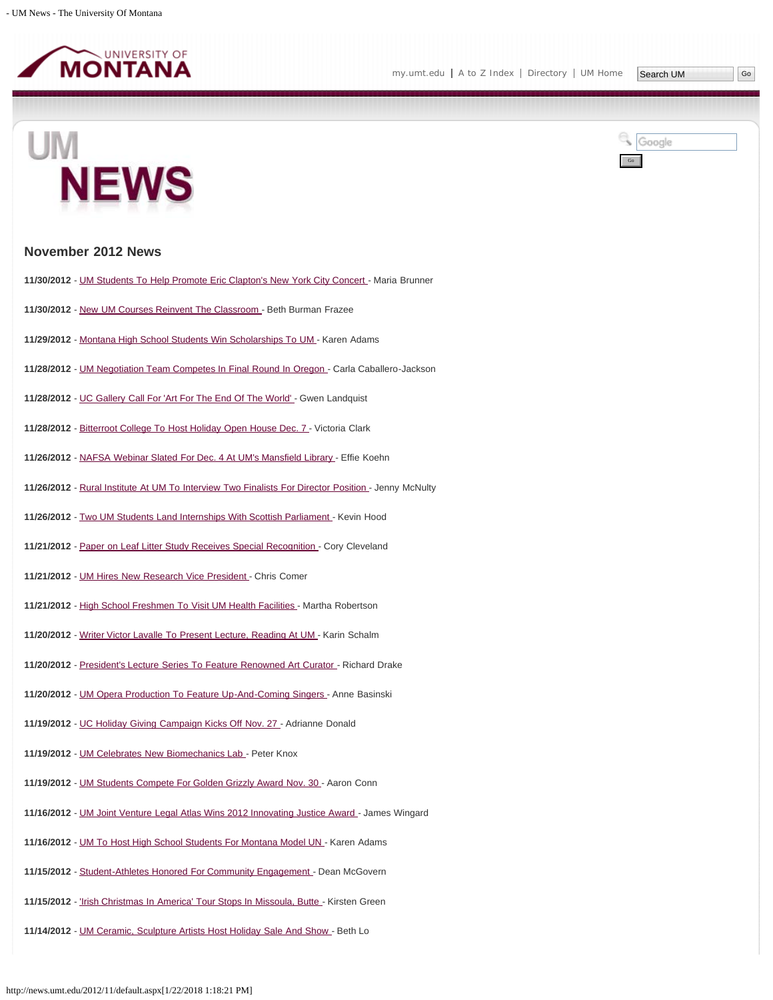

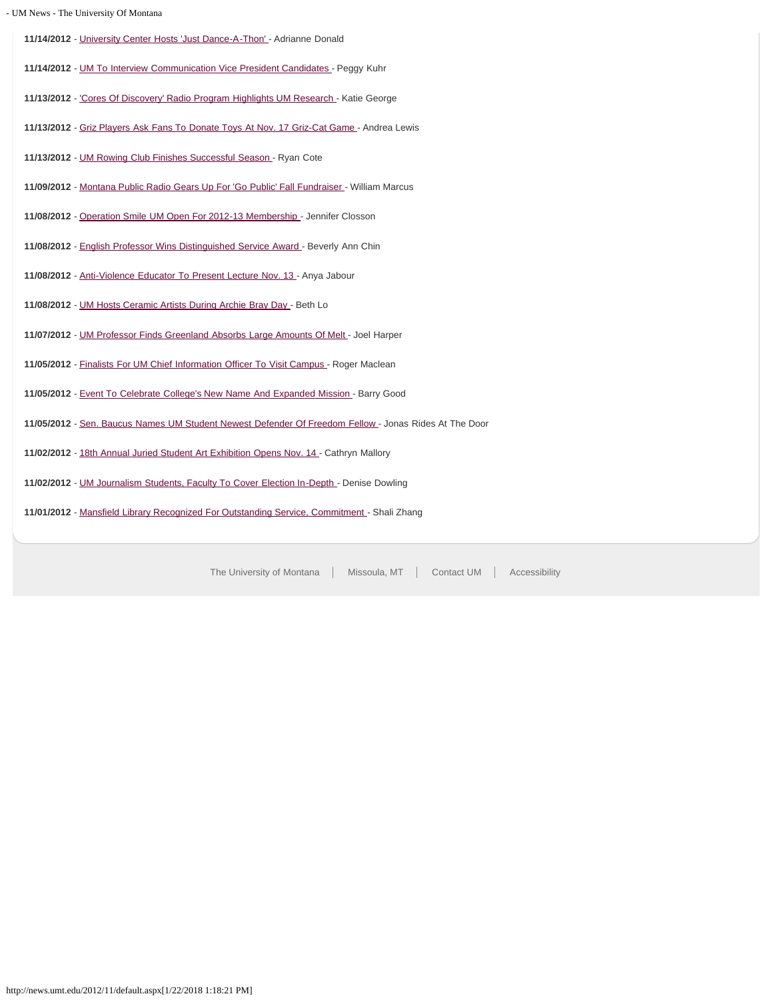- UM News - The University Of Montana **11/14/2012** - [University Center Hosts 'Just Dance-A-Thon' -](#page-31-0) Adrianne Donald **11/14/2012** - [UM To Interview Communication Vice President Candidates -](#page-32-0) Peggy Kuhr **11/13/2012** - ['Cores Of Discovery' Radio Program Highlights UM Research](#page-34-0) - Katie George **11/13/2012** - [Griz Players Ask Fans To Donate Toys At Nov. 17 Griz-Cat Game](#page-35-0) - Andrea Lewis **11/13/2012** - [UM Rowing Club Finishes Successful Season -](#page-36-0) Ryan Cote **11/09/2012** - [Montana Public Radio Gears Up For 'Go Public' Fall Fundraiser](#page-37-0) - William Marcus **11/08/2012** - [Operation Smile UM Open For 2012-13 Membership](#page-38-0) - Jennifer Closson **11/08/2012** - [English Professor Wins Distinguished Service Award](#page-39-0) - Beverly Ann Chin **11/08/2012** - [Anti-Violence Educator To Present Lecture Nov. 13 -](#page-40-0) Anya Jabour **11/08/2012** - [UM Hosts Ceramic Artists During Archie Bray Day](#page-41-0) - Beth Lo **11/07/2012** - [UM Professor Finds Greenland Absorbs Large Amounts Of Melt -](#page-42-0) Joel Harper **11/05/2012** - [Finalists For UM Chief Information Officer To Visit Campus](#page-44-0) - Roger Maclean **11/05/2012** - [Event To Celebrate College's New Name And Expanded Mission](#page-46-0) - Barry Good **11/05/2012** - [Sen. Baucus Names UM Student Newest Defender Of Freedom Fellow -](#page-48-0) Jonas Rides At The Door **11/02/2012** - [18th Annual Juried Student Art Exhibition Opens Nov. 14 -](#page-49-0) Cathryn Mallory **11/02/2012** - [UM Journalism Students, Faculty To Cover Election In-Depth](#page-50-0) - Denise Dowling **11/01/2012** - [Mansfield Library Recognized For Outstanding Service, Commitment](#page-51-0) - Shali Zhang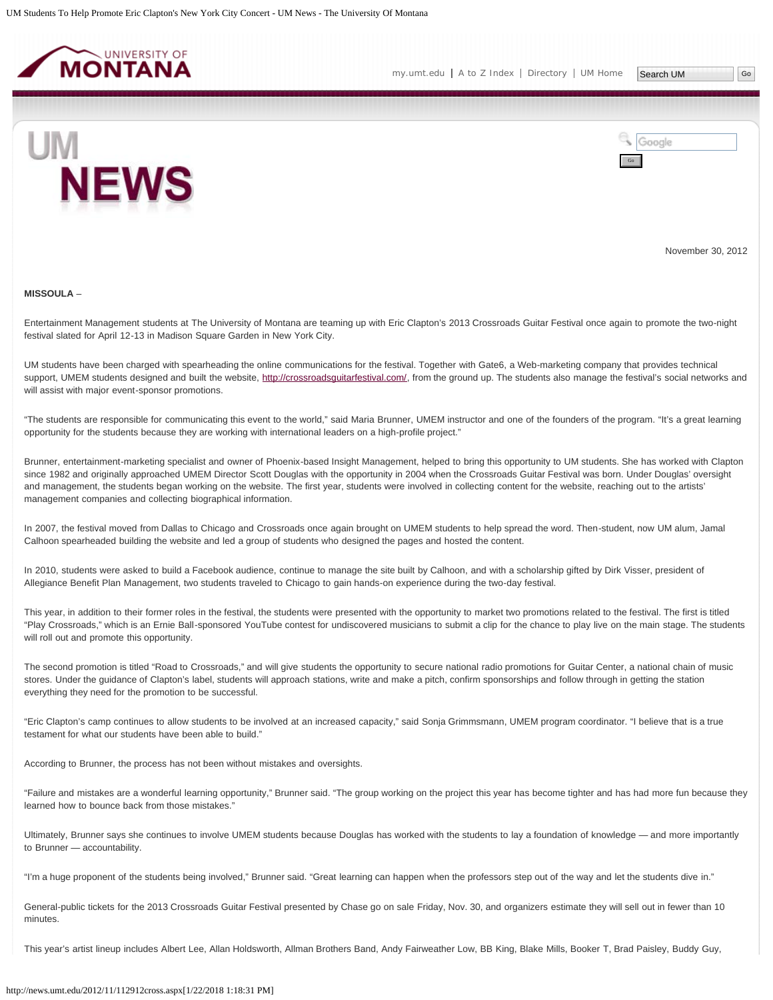<span id="page-3-0"></span>



November 30, 2012

#### **MISSOULA** –

Entertainment Management students at The University of Montana are teaming up with Eric Clapton's 2013 Crossroads Guitar Festival once again to promote the two-night festival slated for April 12-13 in Madison Square Garden in New York City.

UM students have been charged with spearheading the online communications for the festival. Together with Gate6, a Web-marketing company that provides technical support, UMEM students designed and built the website, http://crossroadsquitarfestival.com/, from the ground up. The students also manage the festival's social networks and will assist with major event-sponsor promotions.

"The students are responsible for communicating this event to the world," said Maria Brunner, UMEM instructor and one of the founders of the program. "It's a great learning opportunity for the students because they are working with international leaders on a high-profile project."

Brunner, entertainment-marketing specialist and owner of Phoenix-based Insight Management, helped to bring this opportunity to UM students. She has worked with Clapton since 1982 and originally approached UMEM Director Scott Douglas with the opportunity in 2004 when the Crossroads Guitar Festival was born. Under Douglas' oversight and management, the students began working on the website. The first year, students were involved in collecting content for the website, reaching out to the artists' management companies and collecting biographical information.

In 2007, the festival moved from Dallas to Chicago and Crossroads once again brought on UMEM students to help spread the word. Then-student, now UM alum, Jamal Calhoon spearheaded building the website and led a group of students who designed the pages and hosted the content.

In 2010, students were asked to build a Facebook audience, continue to manage the site built by Calhoon, and with a scholarship gifted by Dirk Visser, president of Allegiance Benefit Plan Management, two students traveled to Chicago to gain hands-on experience during the two-day festival.

This year, in addition to their former roles in the festival, the students were presented with the opportunity to market two promotions related to the festival. The first is titled "Play Crossroads," which is an Ernie Ball-sponsored YouTube contest for undiscovered musicians to submit a clip for the chance to play live on the main stage. The students will roll out and promote this opportunity.

The second promotion is titled "Road to Crossroads," and will give students the opportunity to secure national radio promotions for Guitar Center, a national chain of music stores. Under the guidance of Clapton's label, students will approach stations, write and make a pitch, confirm sponsorships and follow through in getting the station everything they need for the promotion to be successful.

"Eric Clapton's camp continues to allow students to be involved at an increased capacity," said Sonja Grimmsmann, UMEM program coordinator. "I believe that is a true testament for what our students have been able to build."

According to Brunner, the process has not been without mistakes and oversights.

"Failure and mistakes are a wonderful learning opportunity," Brunner said. "The group working on the project this year has become tighter and has had more fun because they learned how to bounce back from those mistakes."

Ultimately, Brunner says she continues to involve UMEM students because Douglas has worked with the students to lay a foundation of knowledge — and more importantly to Brunner — accountability.

"I'm a huge proponent of the students being involved," Brunner said. "Great learning can happen when the professors step out of the way and let the students dive in."

General-public tickets for the 2013 Crossroads Guitar Festival presented by Chase go on sale Friday, Nov. 30, and organizers estimate they will sell out in fewer than 10 minutes.

This year's artist lineup includes Albert Lee, Allan Holdsworth, Allman Brothers Band, Andy Fairweather Low, BB King, Blake Mills, Booker T, Brad Paisley, Buddy Guy,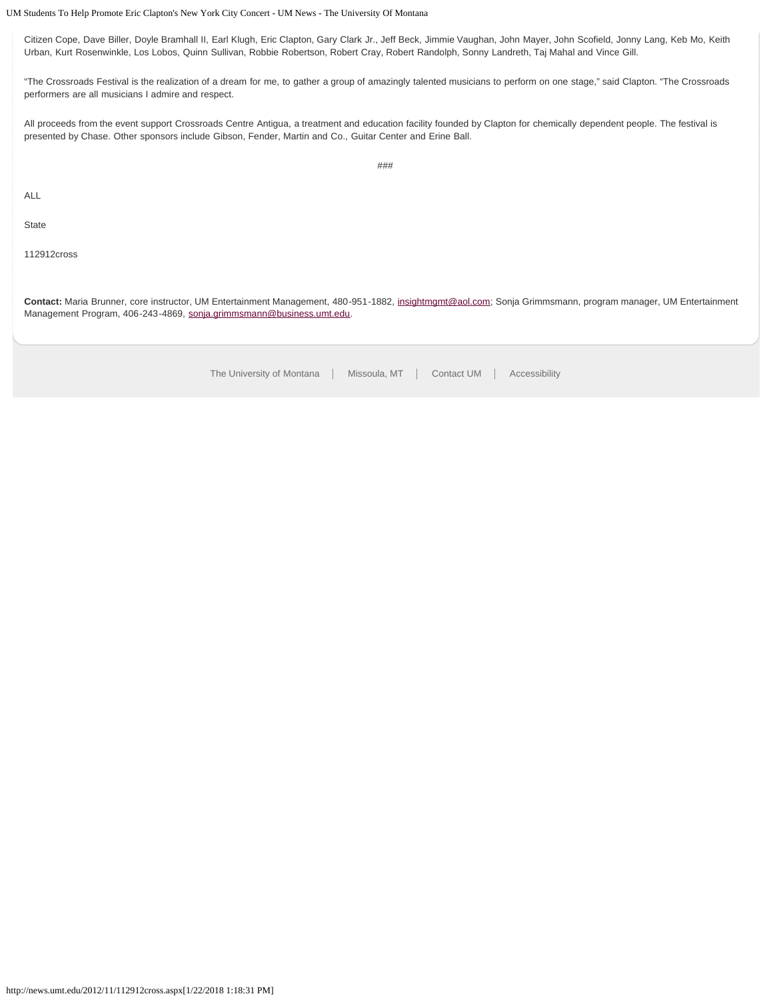## UM Students To Help Promote Eric Clapton's New York City Concert - UM News - The University Of Montana

Citizen Cope, Dave Biller, Doyle Bramhall II, Earl Klugh, Eric Clapton, Gary Clark Jr., Jeff Beck, Jimmie Vaughan, John Mayer, John Scofield, Jonny Lang, Keb Mo, Keith Urban, Kurt Rosenwinkle, Los Lobos, Quinn Sullivan, Robbie Robertson, Robert Cray, Robert Randolph, Sonny Landreth, Taj Mahal and Vince Gill.

"The Crossroads Festival is the realization of a dream for me, to gather a group of amazingly talented musicians to perform on one stage," said Clapton. "The Crossroads performers are all musicians I admire and respect.

All proceeds from the event support Crossroads Centre Antigua, a treatment and education facility founded by Clapton for chemically dependent people. The festival is presented by Chase. Other sponsors include Gibson, Fender, Martin and Co., Guitar Center and Erine Ball.

ALL

**State** 

112912cross

**Contact:** Maria Brunner, core instructor, UM Entertainment Management, 480-951-1882, [insightmgmt@aol.com](mailto:insightmgmt@aol.com); Sonja Grimmsmann, program manager, UM Entertainment Management Program, 406-243-4869, [sonja.grimmsmann@business.umt.edu](mailto:sonja.grimmsmann@business.umt.edu).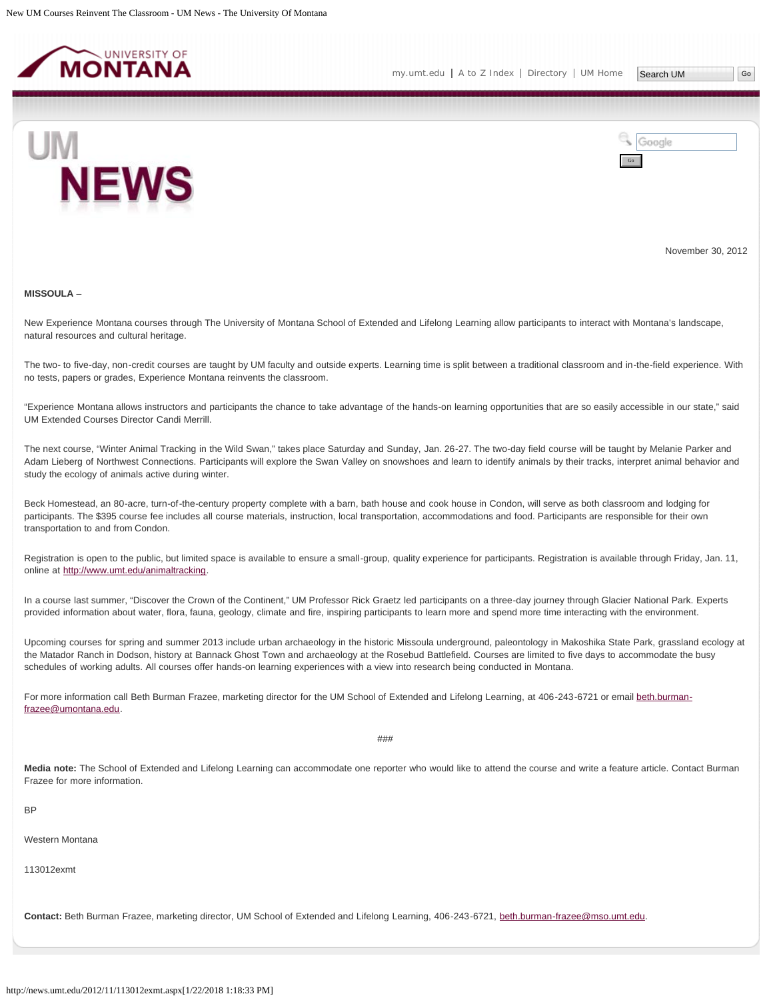<span id="page-5-0"></span>

Search UM



Google Go

November 30, 2012

#### **MISSOULA** –

New Experience Montana courses through The University of Montana School of Extended and Lifelong Learning allow participants to interact with Montana's landscape, natural resources and cultural heritage.

The two- to five-day, non-credit courses are taught by UM faculty and outside experts. Learning time is split between a traditional classroom and in-the-field experience. With no tests, papers or grades, Experience Montana reinvents the classroom.

"Experience Montana allows instructors and participants the chance to take advantage of the hands-on learning opportunities that are so easily accessible in our state," said UM Extended Courses Director Candi Merrill.

The next course, "Winter Animal Tracking in the Wild Swan," takes place Saturday and Sunday, Jan. 26-27. The two-day field course will be taught by Melanie Parker and Adam Lieberg of Northwest Connections. Participants will explore the Swan Valley on snowshoes and learn to identify animals by their tracks, interpret animal behavior and study the ecology of animals active during winter.

Beck Homestead, an 80-acre, turn-of-the-century property complete with a barn, bath house and cook house in Condon, will serve as both classroom and lodging for participants. The \$395 course fee includes all course materials, instruction, local transportation, accommodations and food. Participants are responsible for their own transportation to and from Condon.

Registration is open to the public, but limited space is available to ensure a small-group, quality experience for participants. Registration is available through Friday, Jan. 11, online at<http://www.umt.edu/animaltracking>.

In a course last summer, "Discover the Crown of the Continent," UM Professor Rick Graetz led participants on a three-day journey through Glacier National Park. Experts provided information about water, flora, fauna, geology, climate and fire, inspiring participants to learn more and spend more time interacting with the environment.

Upcoming courses for spring and summer 2013 include urban archaeology in the historic Missoula underground, paleontology in Makoshika State Park, grassland ecology at the Matador Ranch in Dodson, history at Bannack Ghost Town and archaeology at the Rosebud Battlefield. Courses are limited to five days to accommodate the busy schedules of working adults. All courses offer hands-on learning experiences with a view into research being conducted in Montana.

For more information call Beth Burman Frazee, marketing director for the UM School of Extended and Lifelong Learning, at 406-243-6721 or email [beth.burman](mailto:beth.burman-frazee@umontana.edu)[frazee@umontana.edu](mailto:beth.burman-frazee@umontana.edu).

###

**Media note:** The School of Extended and Lifelong Learning can accommodate one reporter who would like to attend the course and write a feature article. Contact Burman Frazee for more information.

BP

Western Montana

113012exmt

**Contact:** Beth Burman Frazee, marketing director, UM School of Extended and Lifelong Learning, 406-243-6721, [beth.burman-frazee@mso.umt.edu](mailto:beth.burman-frazee@mso.umt.edu).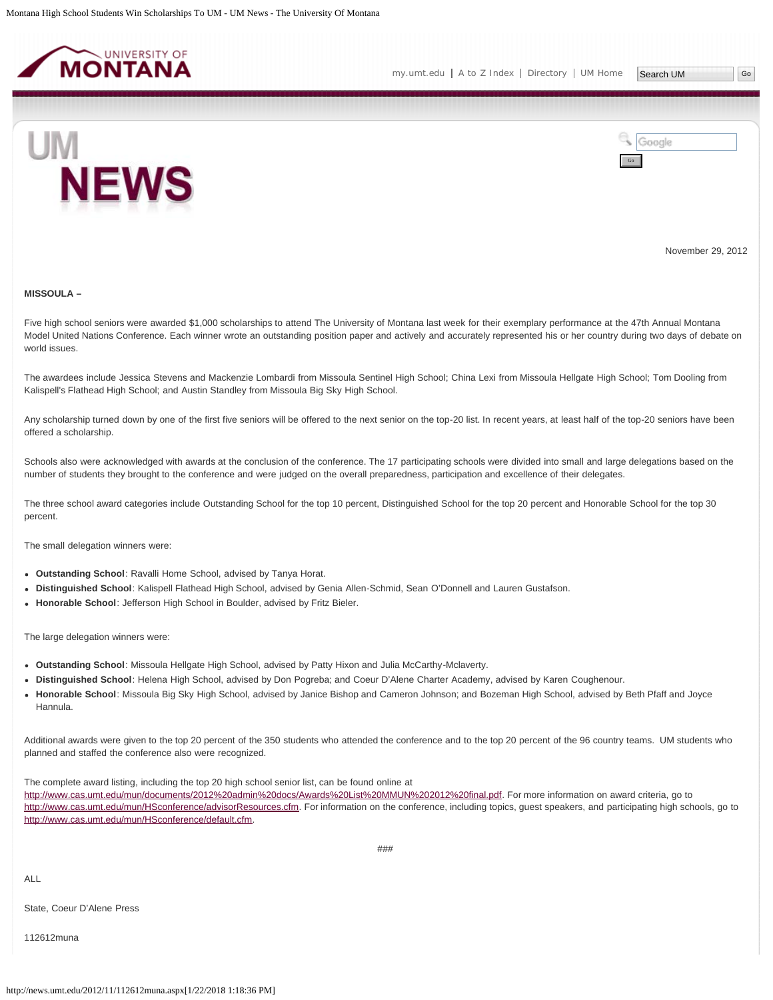<span id="page-7-0"></span>



November 29, 2012

#### **MISSOULA –**

Five high school seniors were awarded \$1,000 scholarships to attend The University of Montana last week for their exemplary performance at the 47th Annual Montana Model United Nations Conference. Each winner wrote an outstanding position paper and actively and accurately represented his or her country during two days of debate on world issues.

The awardees include Jessica Stevens and Mackenzie Lombardi from Missoula Sentinel High School; China Lexi from Missoula Hellgate High School; Tom Dooling from Kalispell's Flathead High School; and Austin Standley from Missoula Big Sky High School.

Any scholarship turned down by one of the first five seniors will be offered to the next senior on the top-20 list. In recent years, at least half of the top-20 seniors have been offered a scholarship.

Schools also were acknowledged with awards at the conclusion of the conference. The 17 participating schools were divided into small and large delegations based on the number of students they brought to the conference and were judged on the overall preparedness, participation and excellence of their delegates.

The three school award categories include Outstanding School for the top 10 percent, Distinguished School for the top 20 percent and Honorable School for the top 30 percent.

The small delegation winners were:

- **Outstanding School**: Ravalli Home School, advised by Tanya Horat.
- **Distinguished School**: Kalispell Flathead High School, advised by Genia Allen-Schmid, Sean O'Donnell and Lauren Gustafson.
- **Honorable School**: Jefferson High School in Boulder, advised by Fritz Bieler.

The large delegation winners were:

- **Outstanding School**: Missoula Hellgate High School, advised by Patty Hixon and Julia McCarthy-Mclaverty.
- **Distinguished School**: Helena High School, advised by Don Pogreba; and Coeur D'Alene Charter Academy, advised by Karen Coughenour.
- **Honorable School**: Missoula Big Sky High School, advised by Janice Bishop and Cameron Johnson; and Bozeman High School, advised by Beth Pfaff and Joyce Hannula.

Additional awards were given to the top 20 percent of the 350 students who attended the conference and to the top 20 percent of the 96 country teams. UM students who planned and staffed the conference also were recognized.

The complete award listing, including the top 20 high school senior list, can be found online at

[http://www.cas.umt.edu/mun/documents/2012%20admin%20docs/Awards%20List%20MMUN%202012%20final.pdf](http://www.cas.umt.edu/mun/documents/2012 admin docs/Awards List MMUN 2012 final.pdf). For more information on award criteria, go to [http://www.cas.umt.edu/mun/HSconference/advisorResources.cfm.](http://www.cas.umt.edu/mun/HSconference/advisorResources.cfm) For information on the conference, including topics, guest speakers, and participating high schools, go to [http://www.cas.umt.edu/mun/HSconference/default.cfm.](http://www.cas.umt.edu/mun/HSconference/default.cfm)

###

ALL

State, Coeur D'Alene Press

112612muna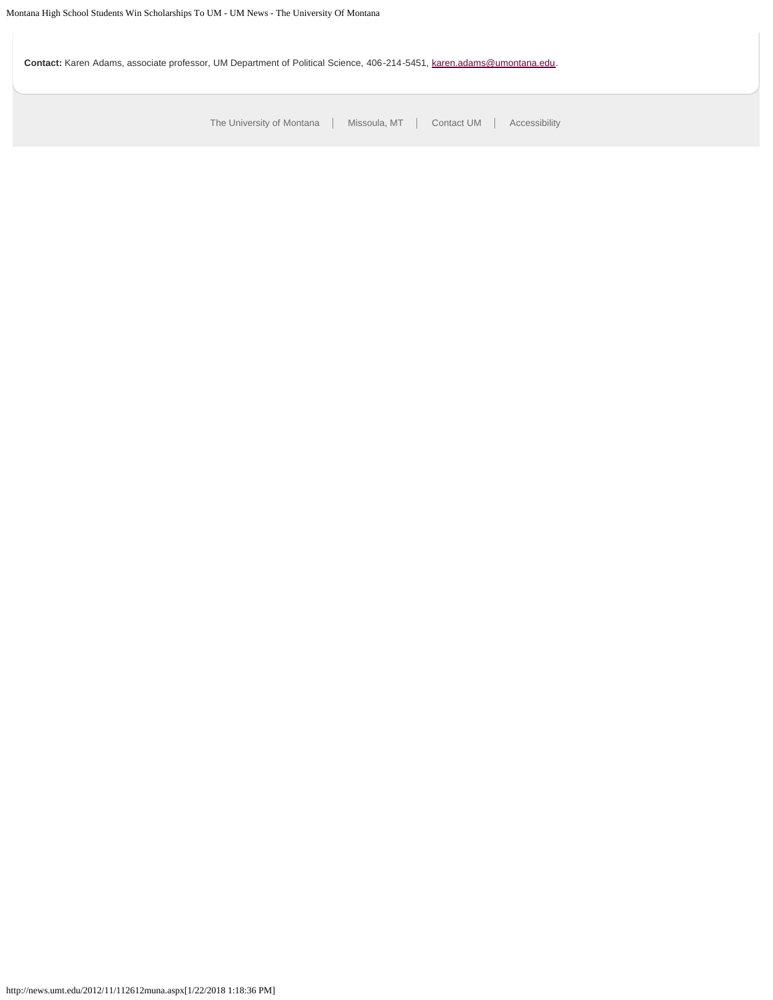**Contact:** Karen Adams, associate professor, UM Department of Political Science, 406-214-5451, [karen.adams@umontana.edu](mailto:karen.adams@umontana.edu).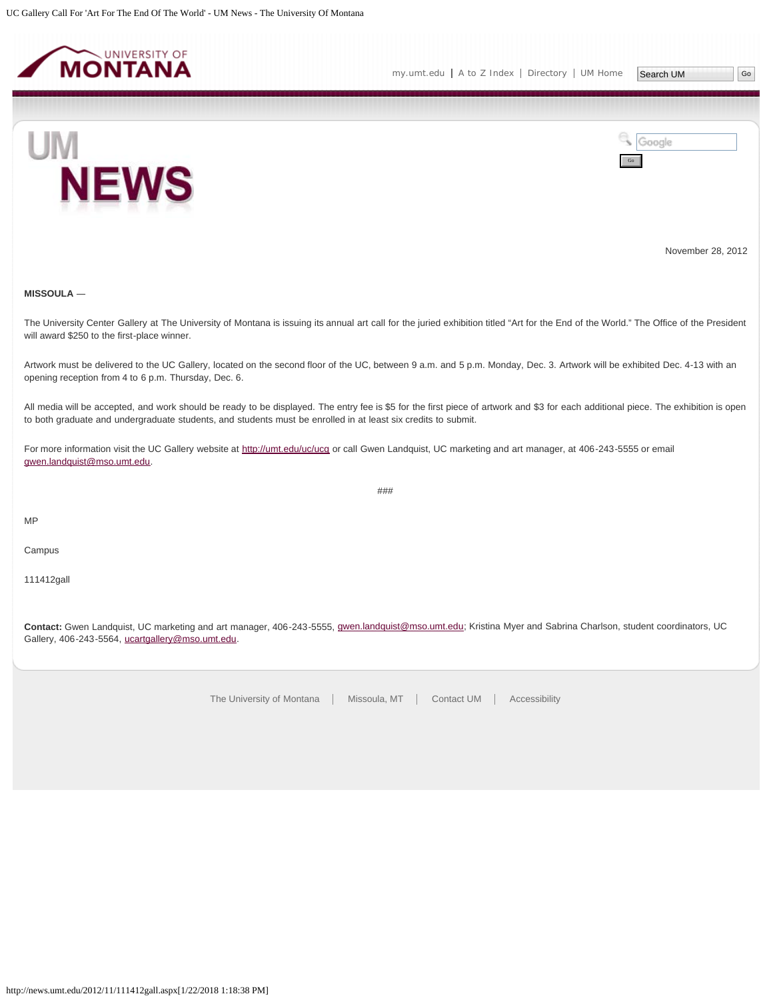<span id="page-9-0"></span>



November 28, 2012

# **MISSOULA** ―

The University Center Gallery at The University of Montana is issuing its annual art call for the juried exhibition titled "Art for the End of the World." The Office of the President will award \$250 to the first-place winner.

Artwork must be delivered to the UC Gallery, located on the second floor of the UC, between 9 a.m. and 5 p.m. Monday, Dec. 3. Artwork will be exhibited Dec. 4-13 with an opening reception from 4 to 6 p.m. Thursday, Dec. 6.

All media will be accepted, and work should be ready to be displayed. The entry fee is \$5 for the first piece of artwork and \$3 for each additional piece. The exhibition is open to both graduate and undergraduate students, and students must be enrolled in at least six credits to submit.

###

For more information visit the UC Gallery website at<http://umt.edu/uc/ucg>or call Gwen Landquist, UC marketing and art manager, at 406-243-5555 or email [gwen.landquist@mso.umt.edu](mailto:gwen.landquist@mso.umt.edu).

MP

Campus

111412gall

**Contact:** Gwen Landquist, UC marketing and art manager, 406-243-5555, [gwen.landquist@mso.umt.edu;](mailto:gwen.landquist@mso.umt.edu) Kristina Myer and Sabrina Charlson, student coordinators, UC Gallery, 406-243-5564, [ucartgallery@mso.umt.edu.](mailto:ucartgallery@mso.umt.edu)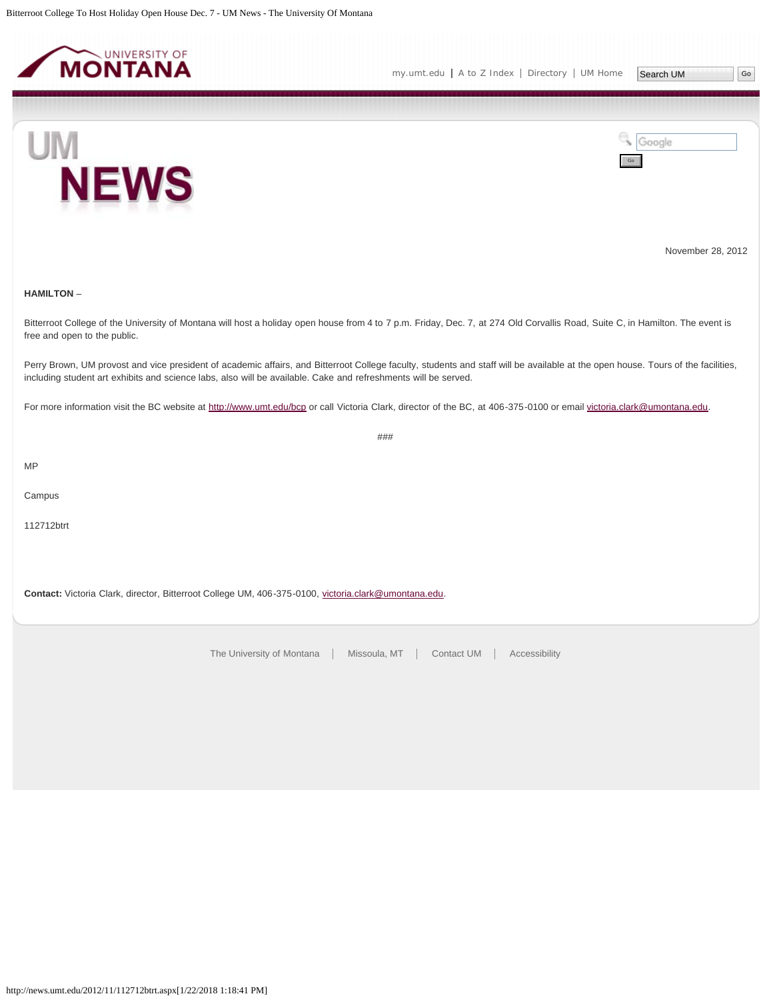<span id="page-10-0"></span>



Go

Google



November 28, 2012

## **HAMILTON** –

Bitterroot College of the University of Montana will host a holiday open house from 4 to 7 p.m. Friday, Dec. 7, at 274 Old Corvallis Road, Suite C, in Hamilton. The event is free and open to the public.

Perry Brown, UM provost and vice president of academic affairs, and Bitterroot College faculty, students and staff will be available at the open house. Tours of the facilities, including student art exhibits and science labs, also will be available. Cake and refreshments will be served.

###

For more information visit the BC website at<http://www.umt.edu/bcp> or call Victoria Clark, director of the BC, at 406-375-0100 or email [victoria.clark@umontana.edu](mailto:victoria.clark@umontana.edu).

MP

Campus

112712btrt

**Contact:** Victoria Clark, director, Bitterroot College UM, 406-375-0100, [victoria.clark@umontana.edu](mailto:victoria.clark@umontana.edu).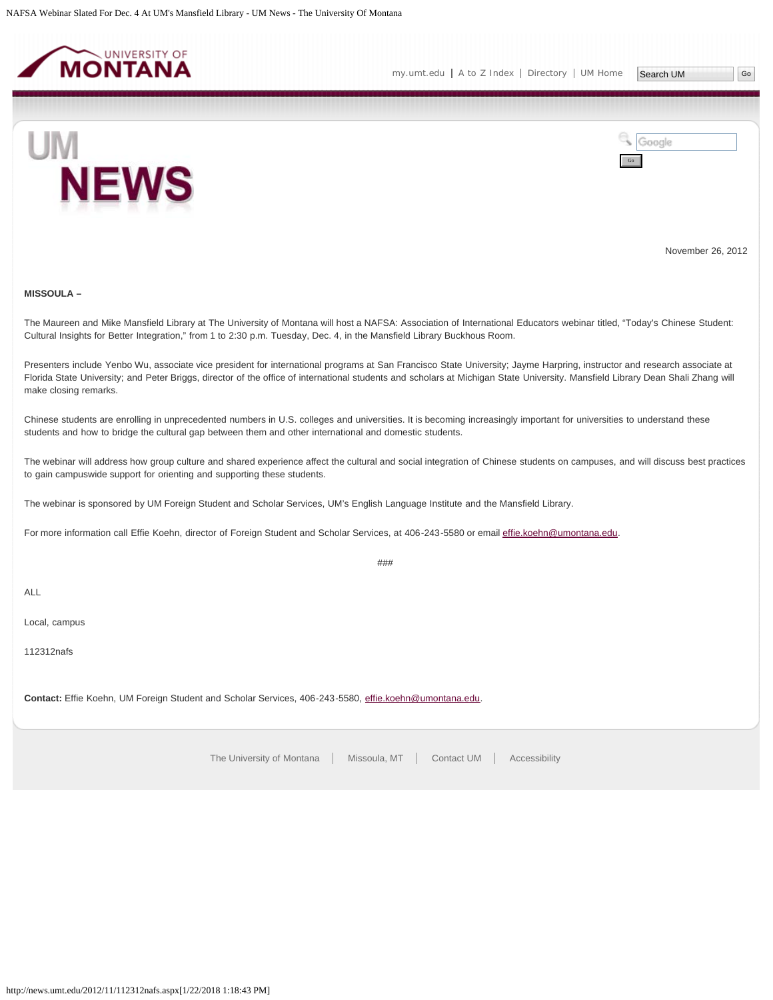<span id="page-11-0"></span>



November 26, 2012

# **MISSOULA –**

The Maureen and Mike Mansfield Library at The University of Montana will host a NAFSA: Association of International Educators webinar titled, "Today's Chinese Student: Cultural Insights for Better Integration," from 1 to 2:30 p.m. Tuesday, Dec. 4, in the Mansfield Library Buckhous Room.

Presenters include Yenbo Wu, associate vice president for international programs at San Francisco State University; Jayme Harpring, instructor and research associate at Florida State University; and Peter Briggs, director of the office of international students and scholars at Michigan State University. Mansfield Library Dean Shali Zhang will make closing remarks.

Chinese students are enrolling in unprecedented numbers in U.S. colleges and universities. It is becoming increasingly important for universities to understand these students and how to bridge the cultural gap between them and other international and domestic students.

The webinar will address how group culture and shared experience affect the cultural and social integration of Chinese students on campuses, and will discuss best practices to gain campuswide support for orienting and supporting these students.

The webinar is sponsored by UM Foreign Student and Scholar Services, UM's English Language Institute and the Mansfield Library.

For more information call Effie Koehn, director of Foreign Student and Scholar Services, at 406-243-5580 or email [effie.koehn@umontana.edu](mailto:effie.koehn@umontana.edu).

###

ALL

Local, campus

112312nafs

**Contact:** Effie Koehn, UM Foreign Student and Scholar Services, 406-243-5580, [effie.koehn@umontana.edu](mailto:effie.koehn@umontana.edu).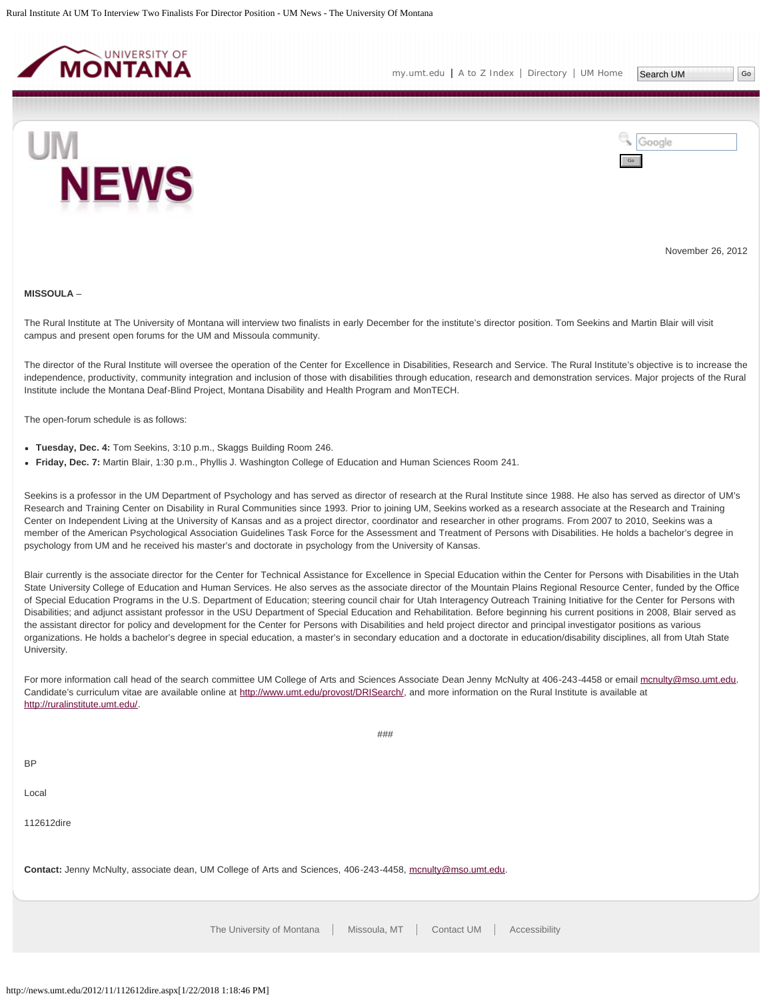<span id="page-12-0"></span>



November 26, 2012

#### **MISSOULA** –

The Rural Institute at The University of Montana will interview two finalists in early December for the institute's director position. Tom Seekins and Martin Blair will visit campus and present open forums for the UM and Missoula community.

The director of the Rural Institute will oversee the operation of the Center for Excellence in Disabilities, Research and Service. The Rural Institute's objective is to increase the independence, productivity, community integration and inclusion of those with disabilities through education, research and demonstration services. Major projects of the Rural Institute include the Montana Deaf-Blind Project, Montana Disability and Health Program and MonTECH.

The open-forum schedule is as follows:

- **Tuesday, Dec. 4:** Tom Seekins, 3:10 p.m., Skaggs Building Room 246.
- **Friday, Dec. 7:** Martin Blair, 1:30 p.m., Phyllis J. Washington College of Education and Human Sciences Room 241.

Seekins is a professor in the UM Department of Psychology and has served as director of research at the Rural Institute since 1988. He also has served as director of UM's Research and Training Center on Disability in Rural Communities since 1993. Prior to joining UM, Seekins worked as a research associate at the Research and Training Center on Independent Living at the University of Kansas and as a project director, coordinator and researcher in other programs. From 2007 to 2010, Seekins was a member of the American Psychological Association Guidelines Task Force for the Assessment and Treatment of Persons with Disabilities. He holds a bachelor's degree in psychology from UM and he received his master's and doctorate in psychology from the University of Kansas.

Blair currently is the associate director for the Center for Technical Assistance for Excellence in Special Education within the Center for Persons with Disabilities in the Utah State University College of Education and Human Services. He also serves as the associate director of the Mountain Plains Regional Resource Center, funded by the Office of Special Education Programs in the U.S. Department of Education; steering council chair for Utah Interagency Outreach Training Initiative for the Center for Persons with Disabilities; and adjunct assistant professor in the USU Department of Special Education and Rehabilitation. Before beginning his current positions in 2008, Blair served as the assistant director for policy and development for the Center for Persons with Disabilities and held project director and principal investigator positions as various organizations. He holds a bachelor's degree in special education, a master's in secondary education and a doctorate in education/disability disciplines, all from Utah State University.

For more information call head of the search committee UM College of Arts and Sciences Associate Dean Jenny McNulty at 406-243-4458 or email [mcnulty@mso.umt.edu](mailto:mcnulty@mso.umt.edu). Candidate's curriculum vitae are available online at [http://www.umt.edu/provost/DRISearch/](http://www.umt.edu/provost/DRISearch/default.aspx), and more information on the Rural Institute is available at [http://ruralinstitute.umt.edu/](http://ruralinstitute.umt.edu/index.asp).

###

| <b>BP</b>                                                                                                   |
|-------------------------------------------------------------------------------------------------------------|
| Local                                                                                                       |
| 112612dire                                                                                                  |
| Contact: Jenny McNulty, associate dean, UM College of Arts and Sciences, 406-243-4458, mcnulty@mso.umt.edu. |
|                                                                                                             |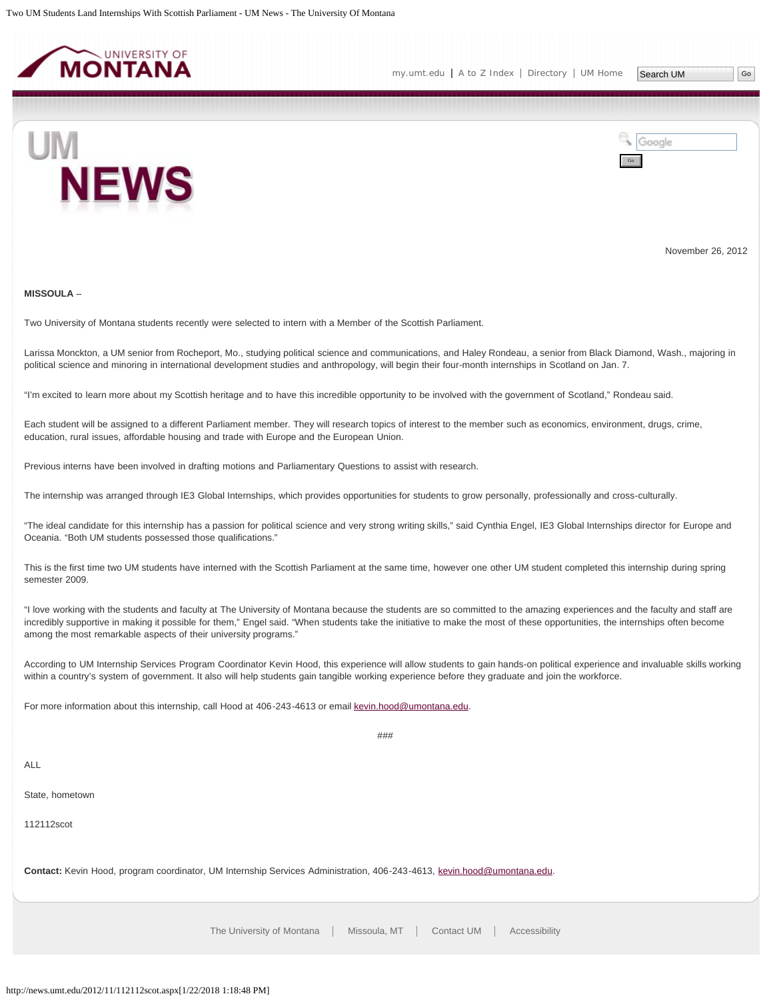<span id="page-13-0"></span>



November 26, 2012

#### **MISSOULA** –

Two University of Montana students recently were selected to intern with a Member of the Scottish Parliament.

Larissa Monckton, a UM senior from Rocheport, Mo., studying political science and communications, and Haley Rondeau, a senior from Black Diamond, Wash., majoring in political science and minoring in international development studies and anthropology, will begin their four-month internships in Scotland on Jan. 7.

"I'm excited to learn more about my Scottish heritage and to have this incredible opportunity to be involved with the government of Scotland," Rondeau said.

Each student will be assigned to a different Parliament member. They will research topics of interest to the member such as economics, environment, drugs, crime, education, rural issues, affordable housing and trade with Europe and the European Union.

Previous interns have been involved in drafting motions and Parliamentary Questions to assist with research.

The internship was arranged through IE3 Global Internships, which provides opportunities for students to grow personally, professionally and cross-culturally.

"The ideal candidate for this internship has a passion for political science and very strong writing skills," said Cynthia Engel, IE3 Global Internships director for Europe and Oceania. "Both UM students possessed those qualifications."

This is the first time two UM students have interned with the Scottish Parliament at the same time, however one other UM student completed this internship during spring semester 2009.

"I love working with the students and faculty at The University of Montana because the students are so committed to the amazing experiences and the faculty and staff are incredibly supportive in making it possible for them," Engel said. "When students take the initiative to make the most of these opportunities, the internships often become among the most remarkable aspects of their university programs."

According to UM Internship Services Program Coordinator Kevin Hood, this experience will allow students to gain hands-on political experience and invaluable skills working within a country's system of government. It also will help students gain tangible working experience before they graduate and join the workforce.

For more information about this internship, call Hood at 406-243-4613 or email [kevin.hood@umontana.edu.](mailto:kevin.hood@umontana.edu)

###

ALL

State, hometown

112112scot

**Contact:** Kevin Hood, program coordinator, UM Internship Services Administration, 406-243-4613, [kevin.hood@umontana.edu.](mailto:kevin.hood@umontana.edu)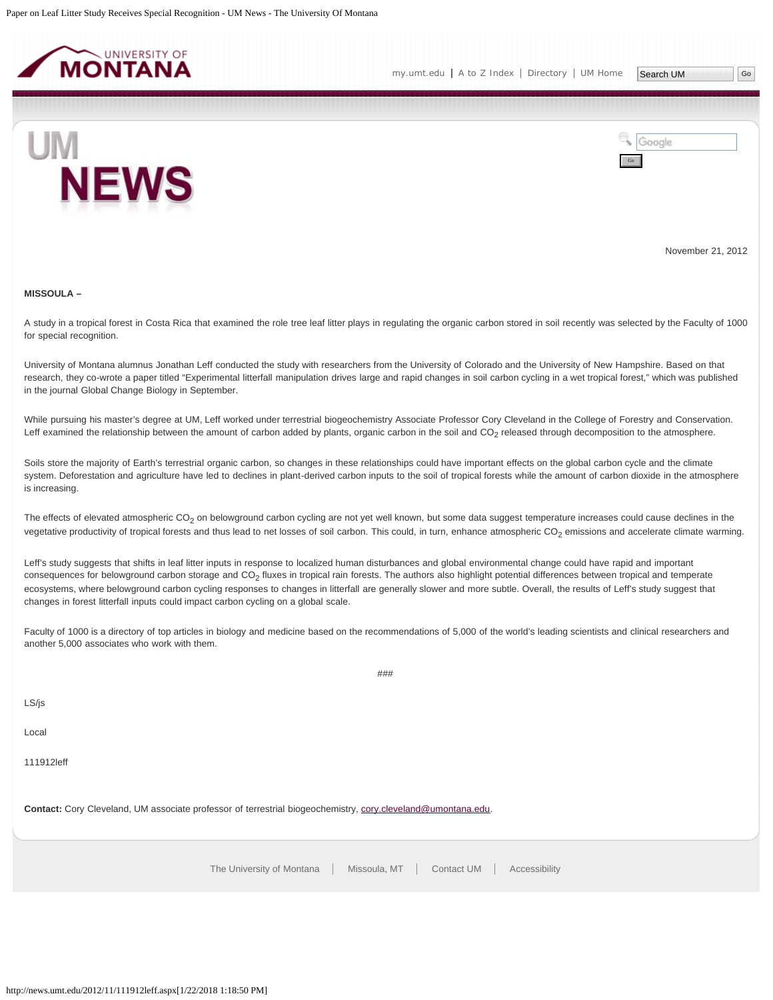<span id="page-14-0"></span>

[my.umt.edu](http://my.umt.edu/) | [A to Z Index](http://www.umt.edu/search/atoz/) | [Directory](http://www.umt.edu/directory/) | [UM Home](http://www.umt.edu/)

Google

Go



November 21, 2012

#### **MISSOULA –**

A study in a tropical forest in Costa Rica that examined the role tree leaf litter plays in regulating the organic carbon stored in soil recently was selected by the Faculty of 1000 for special recognition.

University of Montana alumnus Jonathan Leff conducted the study with researchers from the University of Colorado and the University of New Hampshire. Based on that research, they co-wrote a paper titled "Experimental litterfall manipulation drives large and rapid changes in soil carbon cycling in a wet tropical forest," which was published in the journal Global Change Biology in September.

While pursuing his master's degree at UM, Leff worked under terrestrial biogeochemistry Associate Professor Cory Cleveland in the College of Forestry and Conservation. Leff examined the relationship between the amount of carbon added by plants, organic carbon in the soil and  $CO<sub>2</sub>$  released through decomposition to the atmosphere.

Soils store the majority of Earth's terrestrial organic carbon, so changes in these relationships could have important effects on the global carbon cycle and the climate system. Deforestation and agriculture have led to declines in plant-derived carbon inputs to the soil of tropical forests while the amount of carbon dioxide in the atmosphere is increasing.

The effects of elevated atmospheric CO<sub>2</sub> on belowground carbon cycling are not yet well known, but some data suggest temperature increases could cause declines in the vegetative productivity of tropical forests and thus lead to net losses of soil carbon. This could, in turn, enhance atmospheric CO<sub>2</sub> emissions and accelerate climate warming.

Leff's study suggests that shifts in leaf litter inputs in response to localized human disturbances and global environmental change could have rapid and important consequences for belowground carbon storage and CO<sub>2</sub> fluxes in tropical rain forests. The authors also highlight potential differences between tropical and temperate ecosystems, where belowground carbon cycling responses to changes in litterfall are generally slower and more subtle. Overall, the results of Leff's study suggest that changes in forest litterfall inputs could impact carbon cycling on a global scale.

Faculty of 1000 is a directory of top articles in biology and medicine based on the recommendations of 5,000 of the world's leading scientists and clinical researchers and another 5,000 associates who work with them.

###

| . .<br>۰.<br>× | ۰, |
|----------------|----|
|----------------|----|

Local

111912leff

**Contact:** Cory Cleveland, UM associate professor of terrestrial biogeochemistry, [cory.cleveland@umontana.edu](mailto:cory.cleveland@umontana.edu).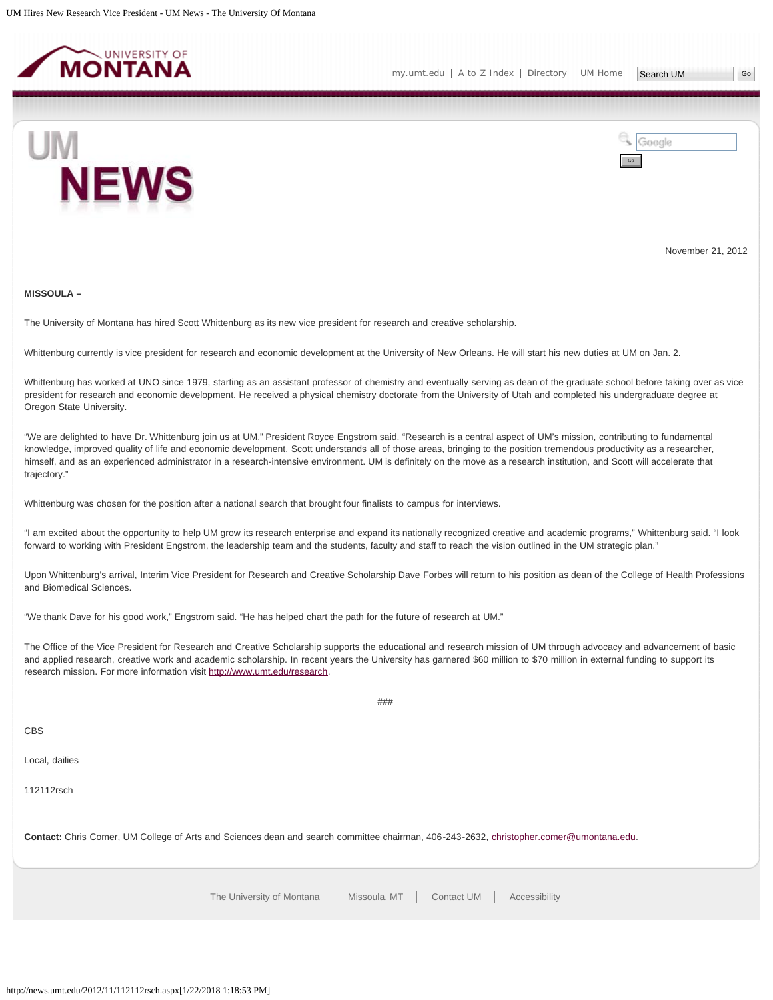<span id="page-15-0"></span>



November 21, 2012

#### **MISSOULA –**

The University of Montana has hired Scott Whittenburg as its new vice president for research and creative scholarship.

Whittenburg currently is vice president for research and economic development at the University of New Orleans. He will start his new duties at UM on Jan. 2.

Whittenburg has worked at UNO since 1979, starting as an assistant professor of chemistry and eventually serving as dean of the graduate school before taking over as vice president for research and economic development. He received a physical chemistry doctorate from the University of Utah and completed his undergraduate degree at Oregon State University.

"We are delighted to have Dr. Whittenburg join us at UM," President Royce Engstrom said. "Research is a central aspect of UM's mission, contributing to fundamental knowledge, improved quality of life and economic development. Scott understands all of those areas, bringing to the position tremendous productivity as a researcher, himself, and as an experienced administrator in a research-intensive environment. UM is definitely on the move as a research institution, and Scott will accelerate that trajectory."

Whittenburg was chosen for the position after a national search that brought four finalists to campus for interviews.

"I am excited about the opportunity to help UM grow its research enterprise and expand its nationally recognized creative and academic programs," Whittenburg said. "I look forward to working with President Engstrom, the leadership team and the students, faculty and staff to reach the vision outlined in the UM strategic plan."

Upon Whittenburg's arrival, Interim Vice President for Research and Creative Scholarship Dave Forbes will return to his position as dean of the College of Health Professions and Biomedical Sciences.

"We thank Dave for his good work," Engstrom said. "He has helped chart the path for the future of research at UM."

The Office of the Vice President for Research and Creative Scholarship supports the educational and research mission of UM through advocacy and advancement of basic and applied research, creative work and academic scholarship. In recent years the University has garnered \$60 million to \$70 million in external funding to support its research mission. For more information visit<http://www.umt.edu/research>.

###

CBS

Local, dailies

112112rsch

**Contact:** Chris Comer, UM College of Arts and Sciences dean and search committee chairman, 406-243-2632, [christopher.comer@umontana.edu.](mailto:christopher.comer@umontana.edu)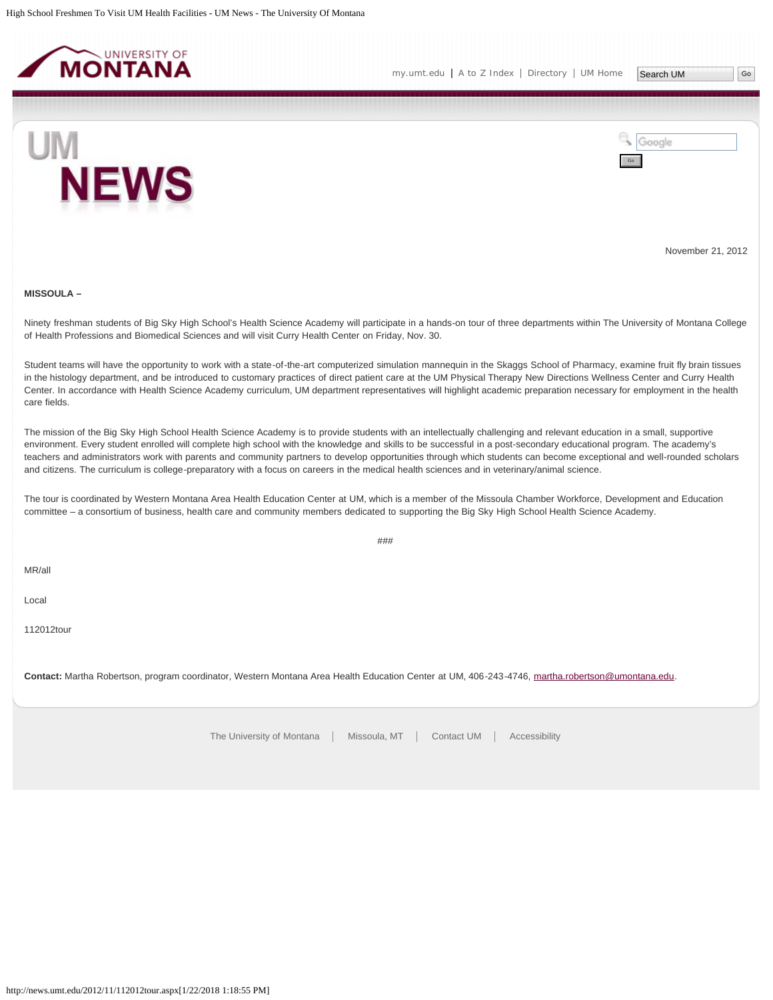<span id="page-16-0"></span>

[my.umt.edu](http://my.umt.edu/) | [A to Z Index](http://www.umt.edu/search/atoz/) | [Directory](http://www.umt.edu/directory/) | [UM Home](http://www.umt.edu/)



Google Go

November 21, 2012

#### **MISSOULA –**

Ninety freshman students of Big Sky High School's Health Science Academy will participate in a hands-on tour of three departments within The University of Montana College of Health Professions and Biomedical Sciences and will visit Curry Health Center on Friday, Nov. 30.

Student teams will have the opportunity to work with a state-of-the-art computerized simulation mannequin in the Skaggs School of Pharmacy, examine fruit fly brain tissues in the histology department, and be introduced to customary practices of direct patient care at the UM Physical Therapy New Directions Wellness Center and Curry Health Center. In accordance with Health Science Academy curriculum, UM department representatives will highlight academic preparation necessary for employment in the health care fields.

The mission of the Big Sky High School Health Science Academy is to provide students with an intellectually challenging and relevant education in a small, supportive environment. Every student enrolled will complete high school with the knowledge and skills to be successful in a post-secondary educational program. The academy's teachers and administrators work with parents and community partners to develop opportunities through which students can become exceptional and well-rounded scholars and citizens. The curriculum is college-preparatory with a focus on careers in the medical health sciences and in veterinary/animal science.

The tour is coordinated by Western Montana Area Health Education Center at UM, which is a member of the Missoula Chamber Workforce, Development and Education committee – a consortium of business, health care and community members dedicated to supporting the Big Sky High School Health Science Academy.

###

MR/all

Local

112012tour

**Contact:** Martha Robertson, program coordinator, Western Montana Area Health Education Center at UM, 406-243-4746, [martha.robertson@umontana.edu.](mailto:martha.robertson@umontana.edu)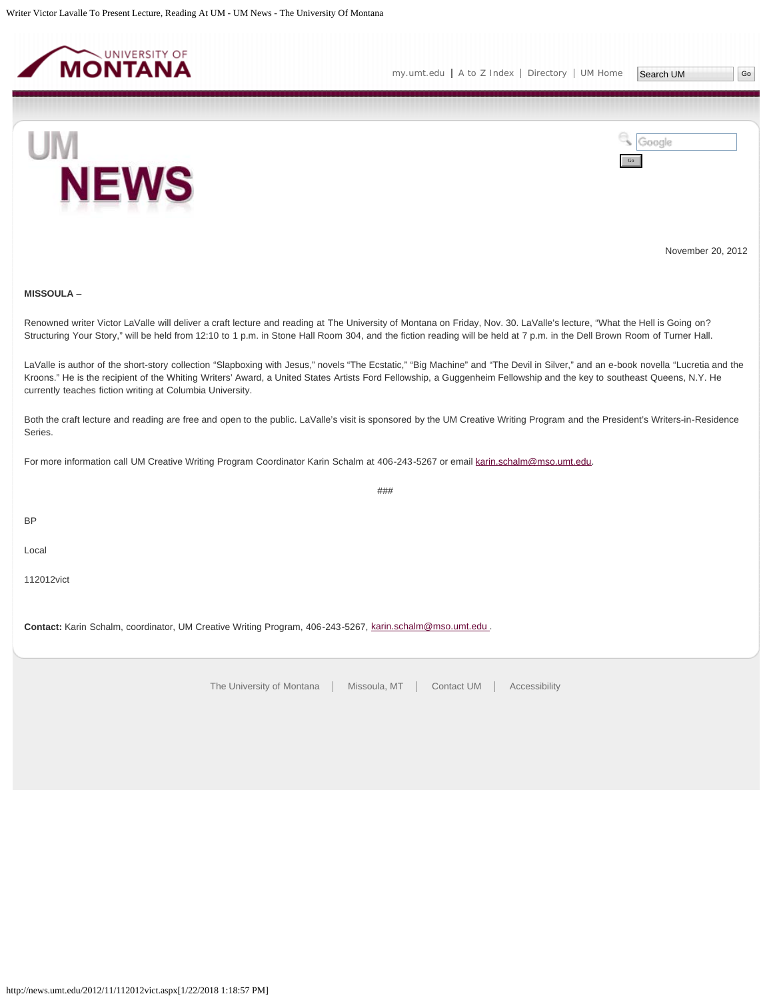<span id="page-17-0"></span>



November 20, 2012

# **MISSOULA** –

Renowned writer Victor LaValle will deliver a craft lecture and reading at The University of Montana on Friday, Nov. 30. LaValle's lecture, "What the Hell is Going on? Structuring Your Story," will be held from 12:10 to 1 p.m. in Stone Hall Room 304, and the fiction reading will be held at 7 p.m. in the Dell Brown Room of Turner Hall.

LaValle is author of the short-story collection "Slapboxing with Jesus," novels "The Ecstatic," "Big Machine" and "The Devil in Silver," and an e-book novella "Lucretia and the Kroons." He is the recipient of the Whiting Writers' Award, a United States Artists Ford Fellowship, a Guggenheim Fellowship and the key to southeast Queens, N.Y. He currently teaches fiction writing at Columbia University.

Both the craft lecture and reading are free and open to the public. LaValle's visit is sponsored by the UM Creative Writing Program and the President's Writers-in-Residence Series.

###

For more information call UM Creative Writing Program Coordinator Karin Schalm at 406-243-5267 or email [karin.schalm@mso.umt.edu.](mailto:karin.schalm@mso.umt.edu)

BP

Local

112012vict

**Contact:** Karin Schalm, coordinator, UM Creative Writing Program, 406-243-5267, [karin.schalm@mso.umt.edu .](mailto:karin.schalm@mso.umt.edu)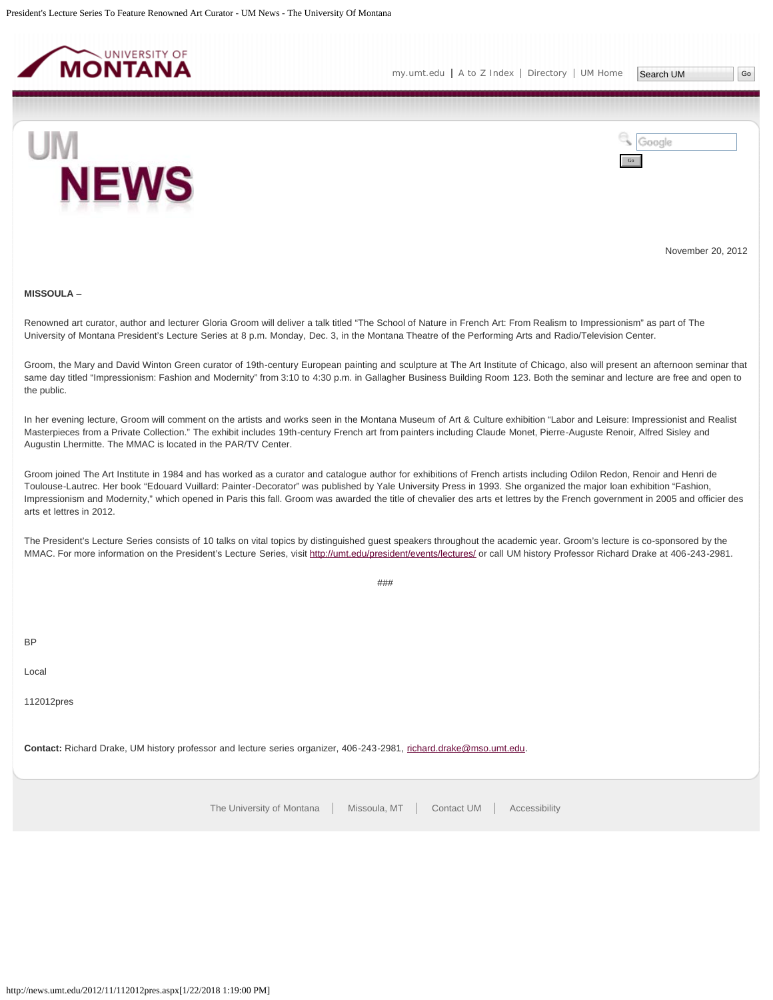<span id="page-18-0"></span>



November 20, 2012

#### **MISSOULA** –

Renowned art curator, author and lecturer Gloria Groom will deliver a talk titled "The School of Nature in French Art: From Realism to Impressionism" as part of The University of Montana President's Lecture Series at 8 p.m. Monday, Dec. 3, in the Montana Theatre of the Performing Arts and Radio/Television Center.

Groom, the Mary and David Winton Green curator of 19th-century European painting and sculpture at The Art Institute of Chicago, also will present an afternoon seminar that same day titled "Impressionism: Fashion and Modernity" from 3:10 to 4:30 p.m. in Gallagher Business Building Room 123. Both the seminar and lecture are free and open to the public.

In her evening lecture, Groom will comment on the artists and works seen in the Montana Museum of Art & Culture exhibition "Labor and Leisure: Impressionist and Realist Masterpieces from a Private Collection." The exhibit includes 19th-century French art from painters including Claude Monet, Pierre-Auguste Renoir, Alfred Sisley and Augustin Lhermitte. The MMAC is located in the PAR/TV Center.

Groom joined The Art Institute in 1984 and has worked as a curator and catalogue author for exhibitions of French artists including Odilon Redon, Renoir and Henri de Toulouse-Lautrec. Her book "Edouard Vuillard: Painter-Decorator" was published by Yale University Press in 1993. She organized the major loan exhibition "Fashion, Impressionism and Modernity," which opened in Paris this fall. Groom was awarded the title of chevalier des arts et lettres by the French government in 2005 and officier des arts et lettres in 2012.

The President's Lecture Series consists of 10 talks on vital topics by distinguished guest speakers throughout the academic year. Groom's lecture is co-sponsored by the MMAC. For more information on the President's Lecture Series, visit<http://umt.edu/president/events/lectures/> or call UM history Professor Richard Drake at 406-243-2981.

###

BP

Local

112012pres

**Contact:** Richard Drake, UM history professor and lecture series organizer, 406-243-2981, [richard.drake@mso.umt.edu.](mailto:richard.drake@mso.umt.edu)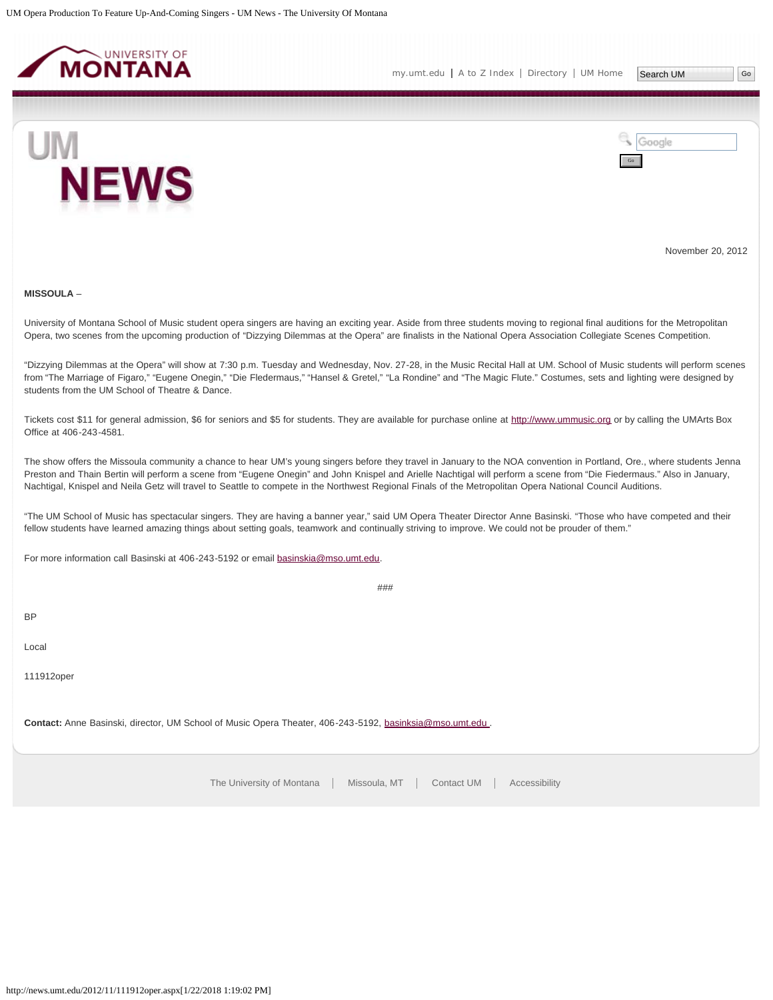<span id="page-19-0"></span>



November 20, 2012

#### **MISSOULA** –

University of Montana School of Music student opera singers are having an exciting year. Aside from three students moving to regional final auditions for the Metropolitan Opera, two scenes from the upcoming production of "Dizzying Dilemmas at the Opera" are finalists in the National Opera Association Collegiate Scenes Competition.

"Dizzying Dilemmas at the Opera" will show at 7:30 p.m. Tuesday and Wednesday, Nov. 27-28, in the Music Recital Hall at UM. School of Music students will perform scenes from "The Marriage of Figaro," "Eugene Onegin," "Die Fledermaus," "Hansel & Gretel," "La Rondine" and "The Magic Flute." Costumes, sets and lighting were designed by students from the UM School of Theatre & Dance.

Tickets cost \$11 for general admission, \$6 for seniors and \$5 for students. They are available for purchase online at [http://www.ummusic.org](http://www.ummusic.org/) or by calling the UMArts Box Office at 406-243-4581.

The show offers the Missoula community a chance to hear UM's young singers before they travel in January to the NOA convention in Portland, Ore., where students Jenna Preston and Thain Bertin will perform a scene from "Eugene Onegin" and John Knispel and Arielle Nachtigal will perform a scene from "Die Fiedermaus." Also in January, Nachtigal, Knispel and Neila Getz will travel to Seattle to compete in the Northwest Regional Finals of the Metropolitan Opera National Council Auditions.

"The UM School of Music has spectacular singers. They are having a banner year," said UM Opera Theater Director Anne Basinski. "Those who have competed and their fellow students have learned amazing things about setting goals, teamwork and continually striving to improve. We could not be prouder of them."

###

For more information call Basinski at 406-243-5192 or email [basinskia@mso.umt.edu.](mailto:basinskia@mso.umt.edu)

BP

Local

111912oper

Contact: Anne Basinski, director, UM School of Music Opera Theater, 406-243-5192, basinksia@mso.umt.edu.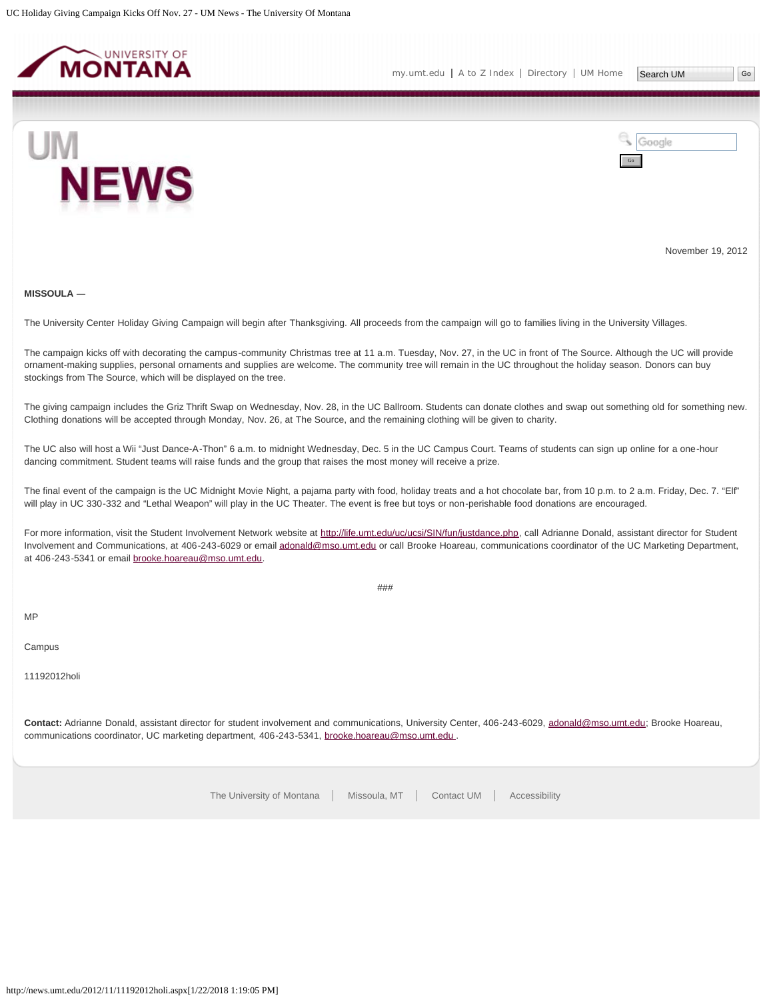<span id="page-20-0"></span>



November 19, 2012

# **MISSOULA** ―

The University Center Holiday Giving Campaign will begin after Thanksgiving. All proceeds from the campaign will go to families living in the University Villages.

The campaign kicks off with decorating the campus-community Christmas tree at 11 a.m. Tuesday, Nov. 27, in the UC in front of The Source. Although the UC will provide ornament-making supplies, personal ornaments and supplies are welcome. The community tree will remain in the UC throughout the holiday season. Donors can buy stockings from The Source, which will be displayed on the tree.

The giving campaign includes the Griz Thrift Swap on Wednesday, Nov. 28, in the UC Ballroom. Students can donate clothes and swap out something old for something new. Clothing donations will be accepted through Monday, Nov. 26, at The Source, and the remaining clothing will be given to charity.

The UC also will host a Wii "Just Dance-A-Thon" 6 a.m. to midnight Wednesday, Dec. 5 in the UC Campus Court. Teams of students can sign up online for a one-hour dancing commitment. Student teams will raise funds and the group that raises the most money will receive a prize.

The final event of the campaign is the UC Midnight Movie Night, a pajama party with food, holiday treats and a hot chocolate bar, from 10 p.m. to 2 a.m. Friday, Dec. 7. "Elf" will play in UC 330-332 and "Lethal Weapon" will play in the UC Theater. The event is free but toys or non-perishable food donations are encouraged.

For more information, visit the Student Involvement Network website at<http://life.umt.edu/uc/ucsi/SIN/fun/justdance.php>, call Adrianne Donald, assistant director for Student Involvement and Communications, at 406-243-6029 or email [adonald@mso.umt.edu](mailto:adonald@mso.umt.edu) or call Brooke Hoareau, communications coordinator of the UC Marketing Department, at 406-243-5341 or email [brooke.hoareau@mso.umt.edu.](mailto:brooke.hoareau@mso.umt.edu)

###

MP

Campus

11192012holi

**Contact:** Adrianne Donald, assistant director for student involvement and communications, University Center, 406-243-6029, [adonald@mso.umt.edu;](mailto:adonald@mso.umt.edu) Brooke Hoareau, communications coordinator, UC marketing department, 406-243-5341, brooke.hoareau@mso.umt.edu.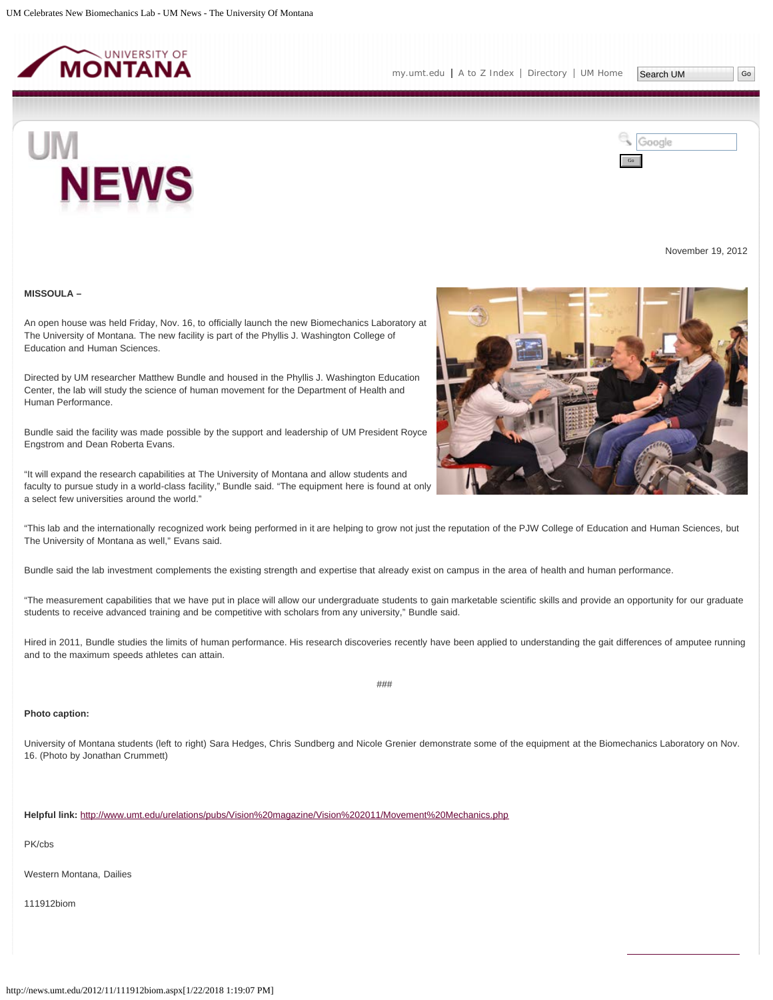<span id="page-21-0"></span>

**NEWS** 

Search UM



November 19, 2012

**MISSOULA –**

UM

An open house was held Friday, Nov. 16, to officially launch the new Biomechanics Laboratory at The University of Montana. The new facility is part of the Phyllis J. Washington College of Education and Human Sciences.

Directed by UM researcher Matthew Bundle and housed in the Phyllis J. Washington Education Center, the lab will study the science of human movement for the Department of Health and Human Performance.

Bundle said the facility was made possible by the support and leadership of UM President Royce Engstrom and Dean Roberta Evans.

"It will expand the research capabilities at The University of Montana and allow students and faculty to pursue study in a world-class facility," Bundle said. "The equipment here is found at only a select few universities around the world."



Bundle said the lab investment complements the existing strength and expertise that already exist on campus in the area of health and human performance.

"The measurement capabilities that we have put in place will allow our undergraduate students to gain marketable scientific skills and provide an opportunity for our graduate students to receive advanced training and be competitive with scholars from any university," Bundle said.

Hired in 2011, Bundle studies the limits of human performance. His research discoveries recently have been applied to understanding the gait differences of amputee running and to the maximum speeds athletes can attain.

## ###

# **Photo caption:**

University of Montana students (left to right) Sara Hedges, Chris Sundberg and Nicole Grenier demonstrate some of the equipment at the Biomechanics Laboratory on Nov. 16. (Photo by Jonathan Crummett)

**Helpful link:** [http://www.umt.edu/urelations/pubs/Vision%20magazine/Vision%202011/Movement%20Mechanics.php](http://www.umt.edu/urelations/pubs/Vision magazine/Vision 2011/Movement Mechanics.php)

PK/cbs

Western Montana, Dailies

111912biom

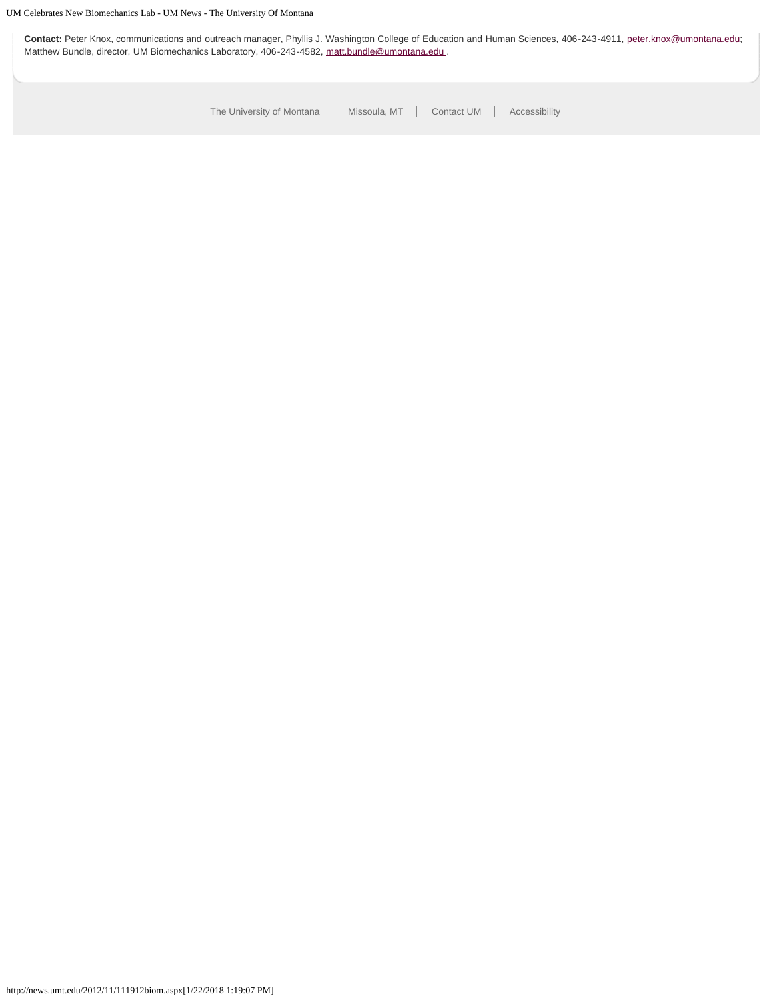**Contact:** Peter Knox, communications and outreach manager, Phyllis J. Washington College of Education and Human Sciences, 406-243-4911, [peter.knox@umontana.edu](mailto:peter.knox@umontana.edu); Matthew Bundle, director, UM Biomechanics Laboratory, 406-243-4582, matt.bundle@umontana.edu.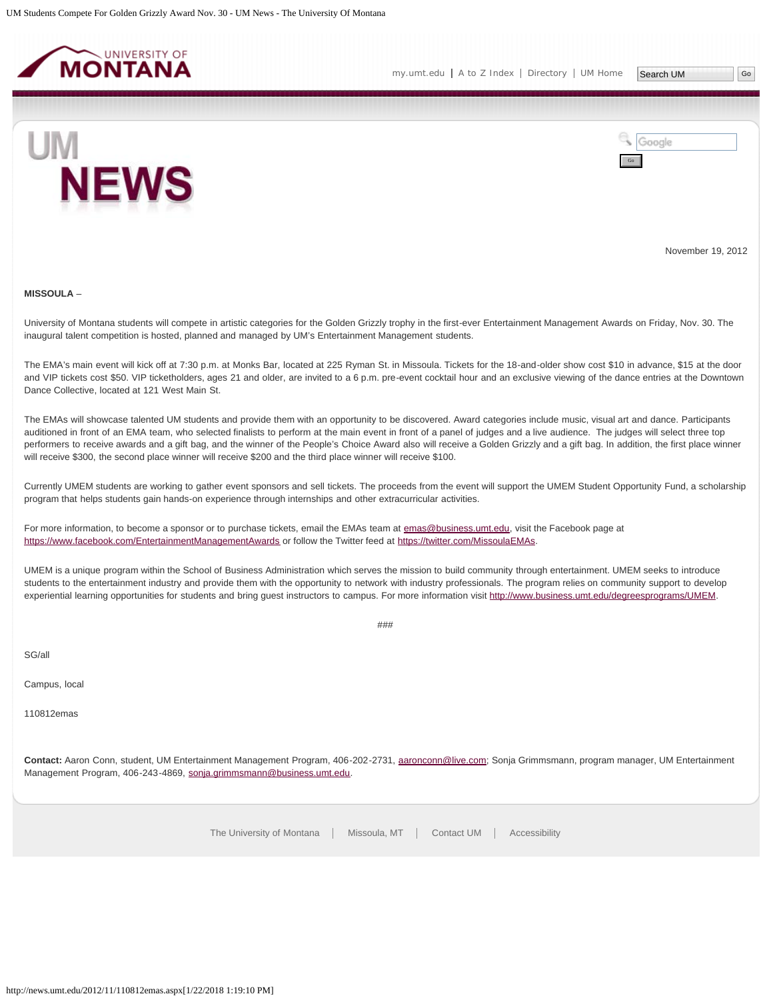<span id="page-23-0"></span>

[my.umt.edu](http://my.umt.edu/) | [A to Z Index](http://www.umt.edu/search/atoz/) | [Directory](http://www.umt.edu/directory/) | [UM Home](http://www.umt.edu/)



Google Go

November 19, 2012

#### **MISSOULA** –

University of Montana students will compete in artistic categories for the Golden Grizzly trophy in the first-ever Entertainment Management Awards on Friday, Nov. 30. The inaugural talent competition is hosted, planned and managed by UM's Entertainment Management students.

The EMA's main event will kick off at 7:30 p.m. at Monks Bar, located at 225 Ryman St. in Missoula. Tickets for the 18-and-older show cost \$10 in advance, \$15 at the door and VIP tickets cost \$50. VIP ticketholders, ages 21 and older, are invited to a 6 p.m. pre-event cocktail hour and an exclusive viewing of the dance entries at the Downtown Dance Collective, located at 121 West Main St.

The EMAs will showcase talented UM students and provide them with an opportunity to be discovered. Award categories include music, visual art and dance. Participants auditioned in front of an EMA team, who selected finalists to perform at the main event in front of a panel of judges and a live audience. The judges will select three top performers to receive awards and a gift bag, and the winner of the People's Choice Award also will receive a Golden Grizzly and a gift bag. In addition, the first place winner will receive \$300, the second place winner will receive \$200 and the third place winner will receive \$100.

Currently UMEM students are working to gather event sponsors and sell tickets. The proceeds from the event will support the UMEM Student Opportunity Fund, a scholarship program that helps students gain hands-on experience through internships and other extracurricular activities.

For more information, to become a sponsor or to purchase tickets, email the EMAs team at [emas@business.umt.edu,](mailto:emas@business.umt.edu) visit the Facebook page at <https://www.facebook.com/EntertainmentManagementAwards> or follow the Twitter feed at<https://twitter.com/MissoulaEMAs>.

UMEM is a unique program within the School of Business Administration which serves the mission to build community through entertainment. UMEM seeks to introduce students to the entertainment industry and provide them with the opportunity to network with industry professionals. The program relies on community support to develop experiential learning opportunities for students and bring guest instructors to campus. For more information visit<http://www.business.umt.edu/degreesprograms/UMEM>.

###

SG/all

Campus, local

110812emas

**Contact:** Aaron Conn, student, UM Entertainment Management Program, 406-202-2731, [aaronconn@live.com;](mailto:aaronconn@live.com) Sonja Grimmsmann, program manager, UM Entertainment Management Program, 406-243-4869, [sonja.grimmsmann@business.umt.edu](mailto:sonja.grimmsmann@business.umt.edu).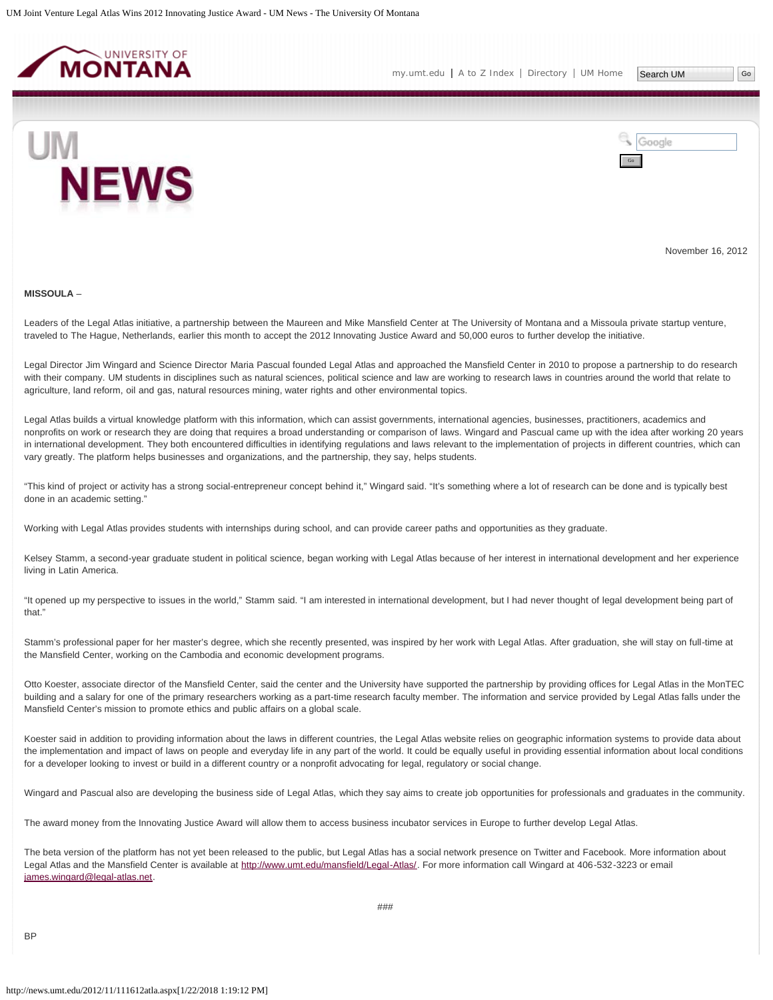<span id="page-24-0"></span>



November 16, 2012

#### **MISSOULA** –

Leaders of the Legal Atlas initiative, a partnership between the Maureen and Mike Mansfield Center at The University of Montana and a Missoula private startup venture, traveled to The Hague, Netherlands, earlier this month to accept the 2012 Innovating Justice Award and 50,000 euros to further develop the initiative.

Legal Director Jim Wingard and Science Director Maria Pascual founded Legal Atlas and approached the Mansfield Center in 2010 to propose a partnership to do research with their company. UM students in disciplines such as natural sciences, political science and law are working to research laws in countries around the world that relate to agriculture, land reform, oil and gas, natural resources mining, water rights and other environmental topics.

Legal Atlas builds a virtual knowledge platform with this information, which can assist governments, international agencies, businesses, practitioners, academics and nonprofits on work or research they are doing that requires a broad understanding or comparison of laws. Wingard and Pascual came up with the idea after working 20 years in international development. They both encountered difficulties in identifying regulations and laws relevant to the implementation of projects in different countries, which can vary greatly. The platform helps businesses and organizations, and the partnership, they say, helps students.

"This kind of project or activity has a strong social-entrepreneur concept behind it," Wingard said. "It's something where a lot of research can be done and is typically best done in an academic setting."

Working with Legal Atlas provides students with internships during school, and can provide career paths and opportunities as they graduate.

Kelsey Stamm, a second-year graduate student in political science, began working with Legal Atlas because of her interest in international development and her experience living in Latin America.

"It opened up my perspective to issues in the world," Stamm said. "I am interested in international development, but I had never thought of legal development being part of that."

Stamm's professional paper for her master's degree, which she recently presented, was inspired by her work with Legal Atlas. After graduation, she will stay on full-time at the Mansfield Center, working on the Cambodia and economic development programs.

Otto Koester, associate director of the Mansfield Center, said the center and the University have supported the partnership by providing offices for Legal Atlas in the MonTEC building and a salary for one of the primary researchers working as a part-time research faculty member. The information and service provided by Legal Atlas falls under the Mansfield Center's mission to promote ethics and public affairs on a global scale.

Koester said in addition to providing information about the laws in different countries, the Legal Atlas website relies on geographic information systems to provide data about the implementation and impact of laws on people and everyday life in any part of the world. It could be equally useful in providing essential information about local conditions for a developer looking to invest or build in a different country or a nonprofit advocating for legal, regulatory or social change.

Wingard and Pascual also are developing the business side of Legal Atlas, which they say aims to create job opportunities for professionals and graduates in the community.

The award money from the Innovating Justice Award will allow them to access business incubator services in Europe to further develop Legal Atlas.

The beta version of the platform has not yet been released to the public, but Legal Atlas has a social network presence on Twitter and Facebook. More information about Legal Atlas and the Mansfield Center is available at<http://www.umt.edu/mansfield/Legal-Atlas/>. For more information call Wingard at 406-532-3223 or email [james.wingard@legal-atlas.net.](mailto:james.wingard@legal-atlas.net)

**BP**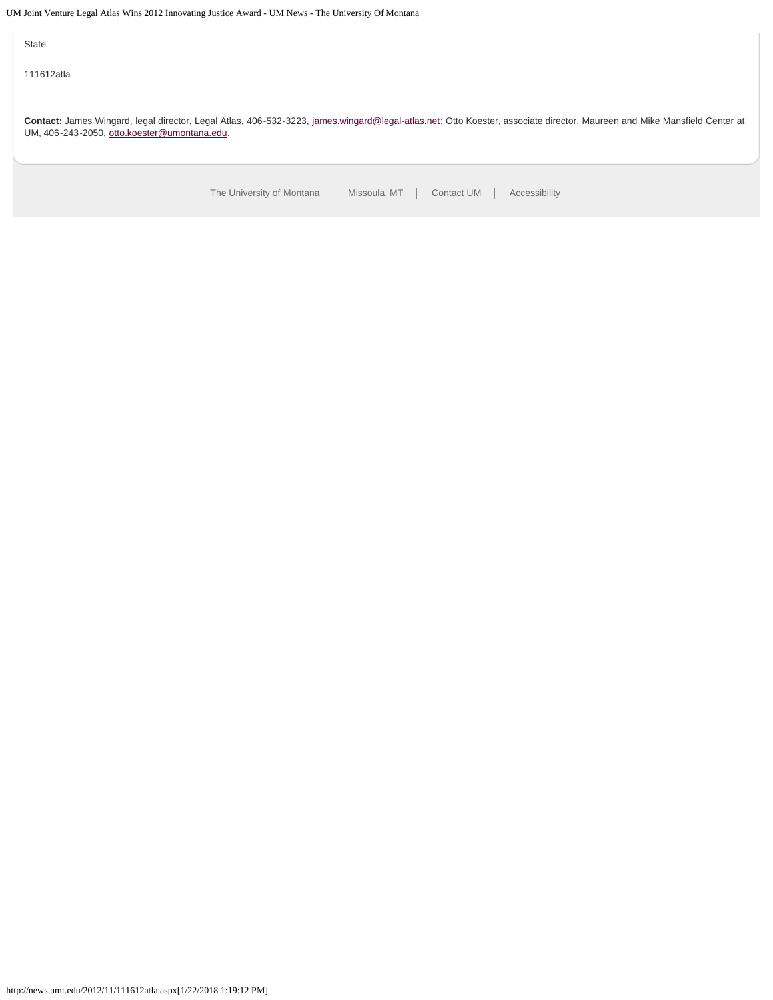UM Joint Venture Legal Atlas Wins 2012 Innovating Justice Award - UM News - The University Of Montana

State

111612atla

**Contact:** James Wingard, legal director, Legal Atlas, 406-532-3223, [james.wingard@legal-atlas.net](mailto:james.wingard@legal-atlas.net); Otto Koester, associate director, Maureen and Mike Mansfield Center at UM, 406-243-2050, [otto.koester@umontana.edu](mailto:otto.koester@umontana.edu).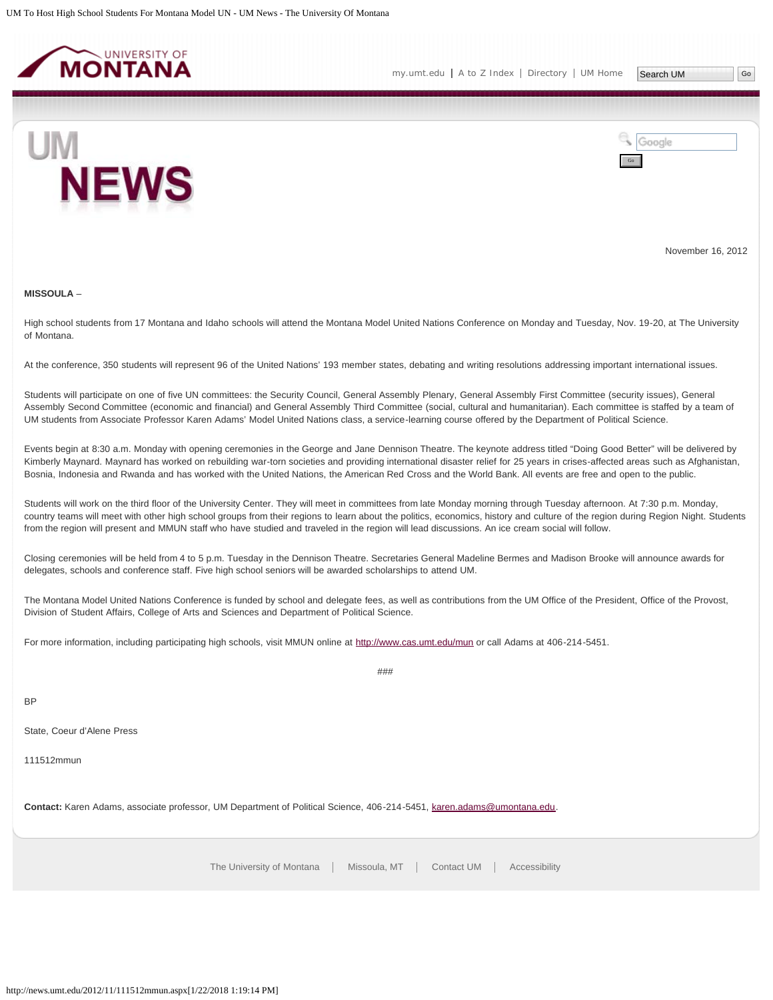<span id="page-26-0"></span>



November 16, 2012

#### **MISSOULA** –

High school students from 17 Montana and Idaho schools will attend the Montana Model United Nations Conference on Monday and Tuesday, Nov. 19-20, at The University of Montana.

At the conference, 350 students will represent 96 of the United Nations' 193 member states, debating and writing resolutions addressing important international issues.

Students will participate on one of five UN committees: the Security Council, General Assembly Plenary, General Assembly First Committee (security issues), General Assembly Second Committee (economic and financial) and General Assembly Third Committee (social, cultural and humanitarian). Each committee is staffed by a team of UM students from Associate Professor Karen Adams' Model United Nations class, a service-learning course offered by the Department of Political Science.

Events begin at 8:30 a.m. Monday with opening ceremonies in the George and Jane Dennison Theatre. The keynote address titled "Doing Good Better" will be delivered by Kimberly Maynard. Maynard has worked on rebuilding war-torn societies and providing international disaster relief for 25 years in crises-affected areas such as Afghanistan, Bosnia, Indonesia and Rwanda and has worked with the United Nations, the American Red Cross and the World Bank. All events are free and open to the public.

Students will work on the third floor of the University Center. They will meet in committees from late Monday morning through Tuesday afternoon. At 7:30 p.m. Monday, country teams will meet with other high school groups from their regions to learn about the politics, economics, history and culture of the region during Region Night. Students from the region will present and MMUN staff who have studied and traveled in the region will lead discussions. An ice cream social will follow.

Closing ceremonies will be held from 4 to 5 p.m. Tuesday in the Dennison Theatre. Secretaries General Madeline Bermes and Madison Brooke will announce awards for delegates, schools and conference staff. Five high school seniors will be awarded scholarships to attend UM.

The Montana Model United Nations Conference is funded by school and delegate fees, as well as contributions from the UM Office of the President, Office of the Provost, Division of Student Affairs, College of Arts and Sciences and Department of Political Science.

 $#HH$ 

For more information, including participating high schools, visit MMUN online at<http://www.cas.umt.edu/mun>or call Adams at 406-214-5451.

BP

State, Coeur d'Alene Press

111512mmun

**Contact:** Karen Adams, associate professor, UM Department of Political Science, 406-214-5451, [karen.adams@umontana.edu](mailto:karen.adams@umontana.edu).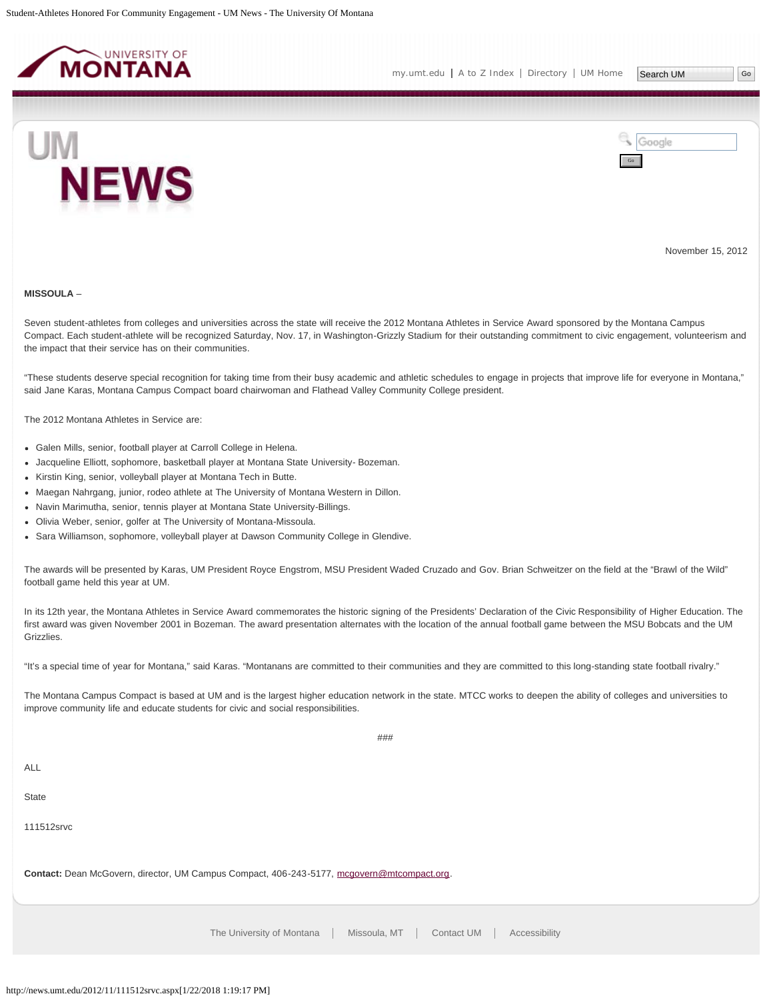<span id="page-27-0"></span>



November 15, 2012

#### **MISSOULA** –

Seven student-athletes from colleges and universities across the state will receive the 2012 Montana Athletes in Service Award sponsored by the Montana Campus Compact. Each student-athlete will be recognized Saturday, Nov. 17, in Washington-Grizzly Stadium for their outstanding commitment to civic engagement, volunteerism and the impact that their service has on their communities.

"These students deserve special recognition for taking time from their busy academic and athletic schedules to engage in projects that improve life for everyone in Montana," said Jane Karas, Montana Campus Compact board chairwoman and Flathead Valley Community College president.

The 2012 Montana Athletes in Service are:

- Galen Mills, senior, football player at Carroll College in Helena.
- Jacqueline Elliott, sophomore, basketball player at Montana State University- Bozeman.
- Kirstin King, senior, volleyball player at Montana Tech in Butte.
- Maegan Nahrgang, junior, rodeo athlete at The University of Montana Western in Dillon.
- Navin Marimutha, senior, tennis player at Montana State University-Billings.
- Olivia Weber, senior, golfer at The University of Montana-Missoula.
- Sara Williamson, sophomore, volleyball player at Dawson Community College in Glendive.

The awards will be presented by Karas, UM President Royce Engstrom, MSU President Waded Cruzado and Gov. Brian Schweitzer on the field at the "Brawl of the Wild" football game held this year at UM.

In its 12th year, the Montana Athletes in Service Award commemorates the historic signing of the Presidents' Declaration of the Civic Responsibility of Higher Education. The first award was given November 2001 in Bozeman. The award presentation alternates with the location of the annual football game between the MSU Bobcats and the UM Grizzlies.

"It's a special time of year for Montana," said Karas. "Montanans are committed to their communities and they are committed to this long-standing state football rivalry."

The Montana Campus Compact is based at UM and is the largest higher education network in the state. MTCC works to deepen the ability of colleges and universities to improve community life and educate students for civic and social responsibilities.

###

ALL

**State** 

111512srvc

**Contact:** Dean McGovern, director, UM Campus Compact, 406-243-5177, [mcgovern@mtcompact.org](mailto:mcgovern@mtcompact.org).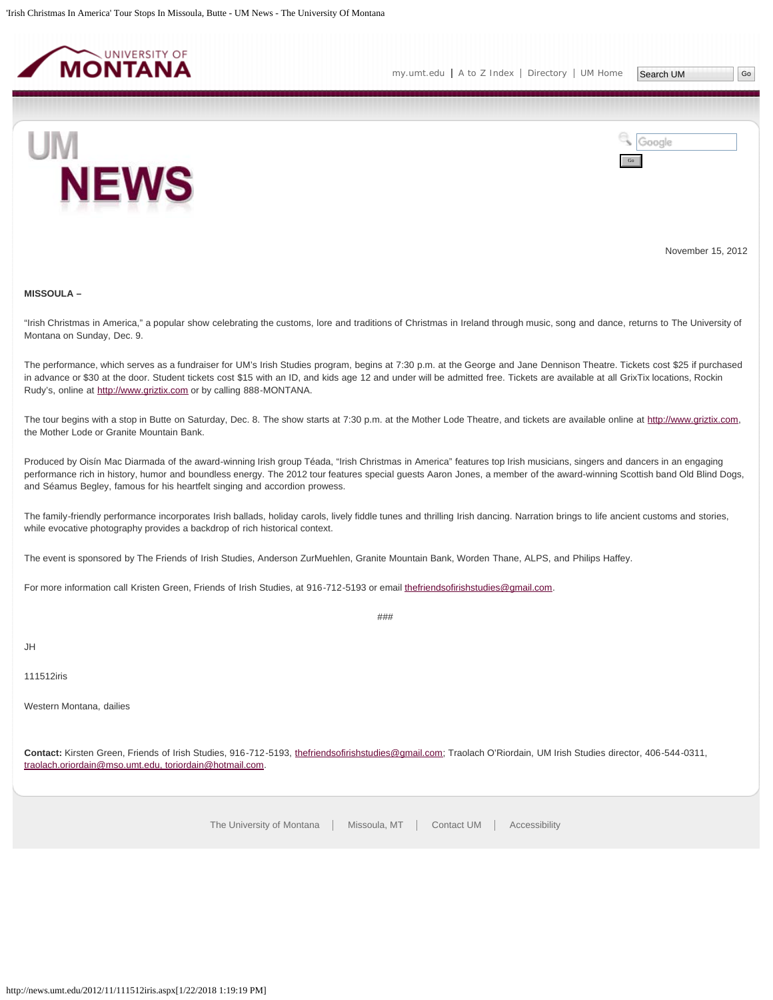<span id="page-29-0"></span>

[my.umt.edu](http://my.umt.edu/) | [A to Z Index](http://www.umt.edu/search/atoz/) | [Directory](http://www.umt.edu/directory/) | [UM Home](http://www.umt.edu/)

Go

Google



November 15, 2012

#### **MISSOULA –**

"Irish Christmas in America," a popular show celebrating the customs, lore and traditions of Christmas in Ireland through music, song and dance, returns to The University of Montana on Sunday, Dec. 9.

The performance, which serves as a fundraiser for UM's Irish Studies program, begins at 7:30 p.m. at the George and Jane Dennison Theatre. Tickets cost \$25 if purchased in advance or \$30 at the door. Student tickets cost \$15 with an ID, and kids age 12 and under will be admitted free. Tickets are available at all GrixTix locations, Rockin Rudy's, online at [http://www.griztix.com](http://www.griztix.com/) or by calling 888-MONTANA.

The tour begins with a stop in Butte on Saturday, Dec. 8. The show starts at 7:30 p.m. at the Mother Lode Theatre, and tickets are available online at [http://www.griztix.com](http://www.griztix.com/), the Mother Lode or Granite Mountain Bank.

Produced by Oisín Mac Diarmada of the award-winning Irish group Téada, "Irish Christmas in America" features top Irish musicians, singers and dancers in an engaging performance rich in history, humor and boundless energy. The 2012 tour features special guests Aaron Jones, a member of the award-winning Scottish band Old Blind Dogs, and Séamus Begley, famous for his heartfelt singing and accordion prowess.

The family-friendly performance incorporates Irish ballads, holiday carols, lively fiddle tunes and thrilling Irish dancing. Narration brings to life ancient customs and stories, while evocative photography provides a backdrop of rich historical context.

The event is sponsored by The Friends of Irish Studies, Anderson ZurMuehlen, Granite Mountain Bank, Worden Thane, ALPS, and Philips Haffey.

For more information call Kristen Green, Friends of Irish Studies, at 916-712-5193 or email [thefriendsofirishstudies@gmail.com.](mailto:thefriendsofirishstudies@gmail.com)

###

# JH

111512iris

Western Montana, dailies

**Contact:** Kirsten Green, Friends of Irish Studies, 916-712-5193, [thefriendsofirishstudies@gmail.com;](mailto:thefriendsofirishstudies@gmail.com) Traolach O'Riordain, UM Irish Studies director, 406-544-0311, [traolach.oriordain@mso.umt.edu, toriordain@hotmail.com](mailto:traolach.oriordain@mso.umt.edu, toriordain@hotmail.com).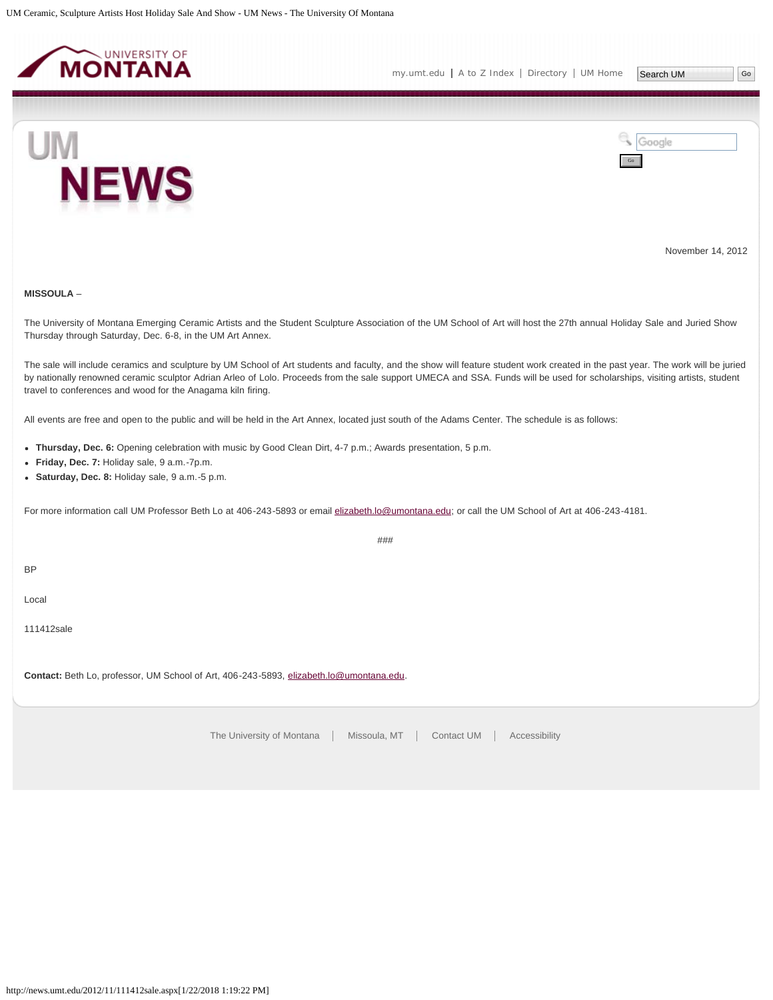<span id="page-30-0"></span>



November 14, 2012

# **MISSOULA** –

The University of Montana Emerging Ceramic Artists and the Student Sculpture Association of the UM School of Art will host the 27th annual Holiday Sale and Juried Show Thursday through Saturday, Dec. 6-8, in the UM Art Annex.

The sale will include ceramics and sculpture by UM School of Art students and faculty, and the show will feature student work created in the past year. The work will be juried by nationally renowned ceramic sculptor Adrian Arleo of Lolo. Proceeds from the sale support UMECA and SSA. Funds will be used for scholarships, visiting artists, student travel to conferences and wood for the Anagama kiln firing.

###

All events are free and open to the public and will be held in the Art Annex, located just south of the Adams Center. The schedule is as follows:

- **Thursday, Dec. 6:** Opening celebration with music by Good Clean Dirt, 4-7 p.m.; Awards presentation, 5 p.m.
- **Friday, Dec. 7:** Holiday sale, 9 a.m.-7p.m.
- **Saturday, Dec. 8:** Holiday sale, 9 a.m.-5 p.m.

For more information call UM Professor Beth Lo at 406-243-5893 or email [elizabeth.lo@umontana.edu](mailto:elizabeth.lo@umontana.edu); or call the UM School of Art at 406-243-4181.

**BP** 

Local

111412sale

**Contact:** Beth Lo, professor, UM School of Art, 406-243-5893, [elizabeth.lo@umontana.edu](mailto:elizabeth.lo@umontana.edu).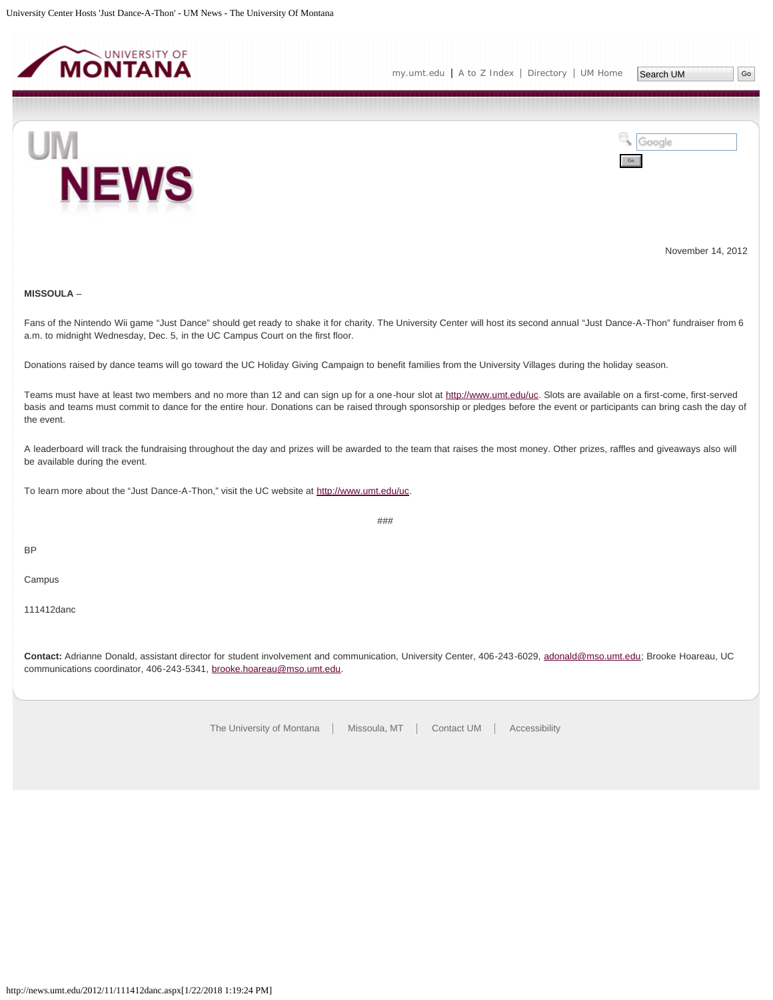<span id="page-31-0"></span>



November 14, 2012

# **MISSOULA** –

Fans of the Nintendo Wii game "Just Dance" should get ready to shake it for charity. The University Center will host its second annual "Just Dance-A-Thon" fundraiser from 6 a.m. to midnight Wednesday, Dec. 5, in the UC Campus Court on the first floor.

Donations raised by dance teams will go toward the UC Holiday Giving Campaign to benefit families from the University Villages during the holiday season.

Teams must have at least two members and no more than 12 and can sign up for a one-hour slot at<http://www.umt.edu/uc>. Slots are available on a first-come, first-served basis and teams must commit to dance for the entire hour. Donations can be raised through sponsorship or pledges before the event or participants can bring cash the day of the event.

A leaderboard will track the fundraising throughout the day and prizes will be awarded to the team that raises the most money. Other prizes, raffles and giveaways also will be available during the event.

To learn more about the "Just Dance-A-Thon," visit the UC website at<http://www.umt.edu/uc>.

###

BP

Campus

111412danc

**Contact:** Adrianne Donald, assistant director for student involvement and communication, University Center, 406-243-6029, [adonald@mso.umt.edu](mailto:adonald@mso.umt.edu); Brooke Hoareau, UC communications coordinator, 406-243-5341, [brooke.hoareau@mso.umt.edu](mailto:brooke.hoareau@mso.umt.edu).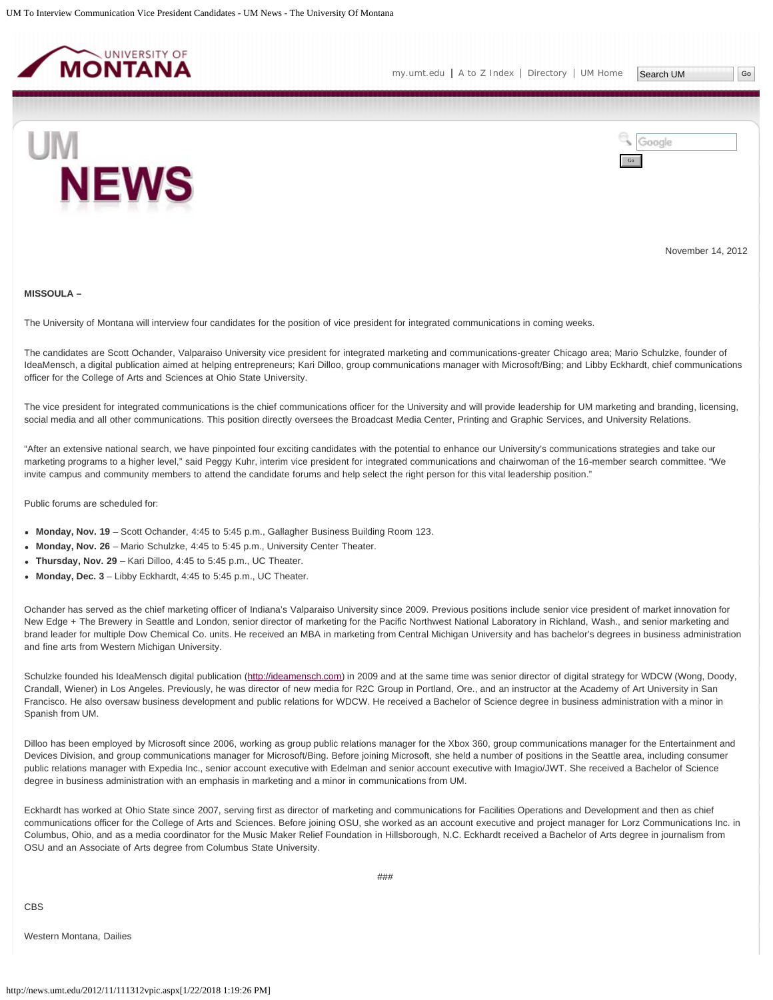<span id="page-32-0"></span>



November 14, 2012

#### **MISSOULA –**

The University of Montana will interview four candidates for the position of vice president for integrated communications in coming weeks.

The candidates are Scott Ochander, Valparaiso University vice president for integrated marketing and communications-greater Chicago area; Mario Schulzke, founder of IdeaMensch, a digital publication aimed at helping entrepreneurs; Kari Dilloo, group communications manager with Microsoft/Bing; and Libby Eckhardt, chief communications officer for the College of Arts and Sciences at Ohio State University.

The vice president for integrated communications is the chief communications officer for the University and will provide leadership for UM marketing and branding, licensing, social media and all other communications. This position directly oversees the Broadcast Media Center, Printing and Graphic Services, and University Relations.

"After an extensive national search, we have pinpointed four exciting candidates with the potential to enhance our University's communications strategies and take our marketing programs to a higher level," said Peggy Kuhr, interim vice president for integrated communications and chairwoman of the 16-member search committee. "We invite campus and community members to attend the candidate forums and help select the right person for this vital leadership position."

Public forums are scheduled for:

- **Monday, Nov. 19** Scott Ochander, 4:45 to 5:45 p.m., Gallagher Business Building Room 123.
- **Monday, Nov. 26** Mario Schulzke, 4:45 to 5:45 p.m., University Center Theater.
- **Thursday, Nov. 29** Kari Dilloo, 4:45 to 5:45 p.m., UC Theater.
- **Monday, Dec. 3** Libby Eckhardt, 4:45 to 5:45 p.m., UC Theater.

Ochander has served as the chief marketing officer of Indiana's Valparaiso University since 2009. Previous positions include senior vice president of market innovation for New Edge + The Brewery in Seattle and London, senior director of marketing for the Pacific Northwest National Laboratory in Richland, Wash., and senior marketing and brand leader for multiple Dow Chemical Co. units. He received an MBA in marketing from Central Michigan University and has bachelor's degrees in business administration and fine arts from Western Michigan University.

Schulzke founded his IdeaMensch digital publication [\(http://ideamensch.com\)](http://ideamensch.com/) in 2009 and at the same time was senior director of digital strategy for WDCW (Wong, Doody, Crandall, Wiener) in Los Angeles. Previously, he was director of new media for R2C Group in Portland, Ore., and an instructor at the Academy of Art University in San Francisco. He also oversaw business development and public relations for WDCW. He received a Bachelor of Science degree in business administration with a minor in Spanish from UM.

Dilloo has been employed by Microsoft since 2006, working as group public relations manager for the Xbox 360, group communications manager for the Entertainment and Devices Division, and group communications manager for Microsoft/Bing. Before joining Microsoft, she held a number of positions in the Seattle area, including consumer public relations manager with Expedia Inc., senior account executive with Edelman and senior account executive with Imagio/JWT. She received a Bachelor of Science degree in business administration with an emphasis in marketing and a minor in communications from UM.

Eckhardt has worked at Ohio State since 2007, serving first as director of marketing and communications for Facilities Operations and Development and then as chief communications officer for the College of Arts and Sciences. Before joining OSU, she worked as an account executive and project manager for Lorz Communications Inc. in Columbus, Ohio, and as a media coordinator for the Music Maker Relief Foundation in Hillsborough, N.C. Eckhardt received a Bachelor of Arts degree in journalism from OSU and an Associate of Arts degree from Columbus State University.

CBS

Western Montana, Dailies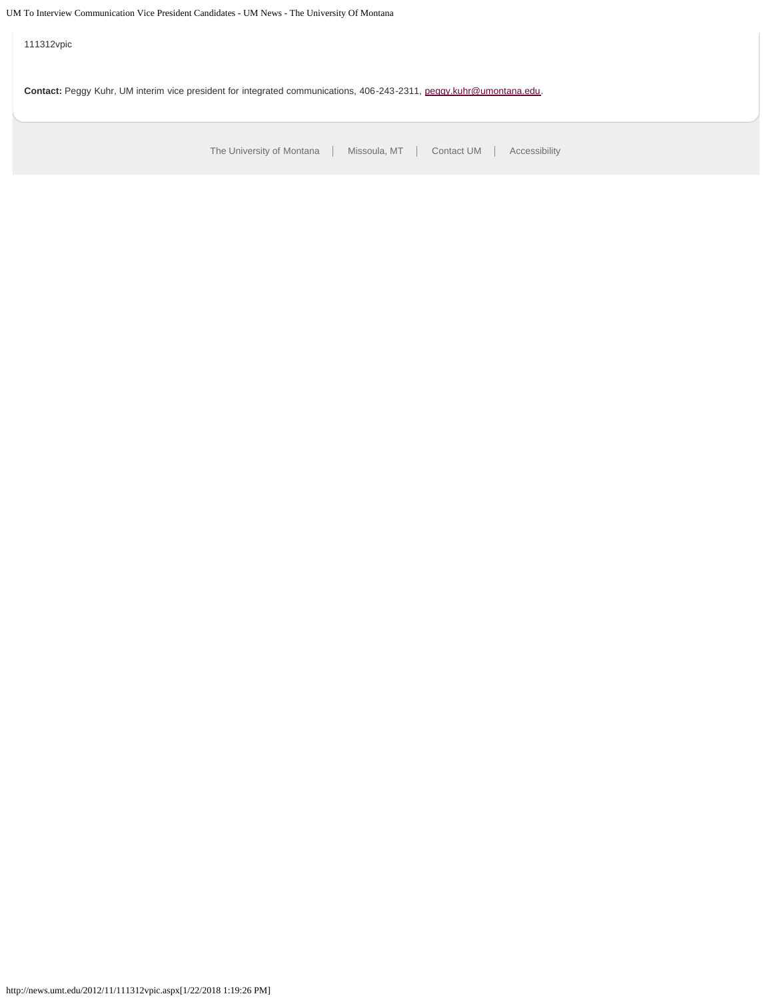111312vpic

Contact: Peggy Kuhr, UM interim vice president for integrated communications, 406-243-2311, [peggy.kuhr@umontana.edu.](mailto:peggy.kuhr@umontana.edu)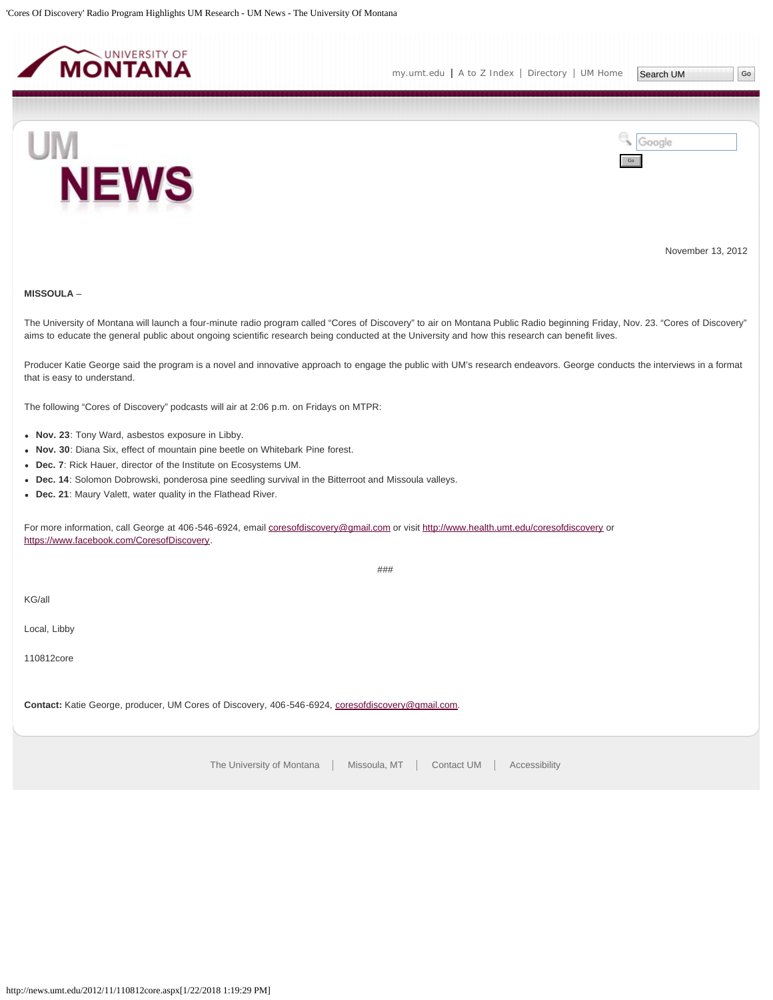<span id="page-34-0"></span>



November 13, 2012

# **MISSOULA** –

The University of Montana will launch a four-minute radio program called "Cores of Discovery" to air on Montana Public Radio beginning Friday, Nov. 23. "Cores of Discovery" aims to educate the general public about ongoing scientific research being conducted at the University and how this research can benefit lives.

Producer Katie George said the program is a novel and innovative approach to engage the public with UM's research endeavors. George conducts the interviews in a format that is easy to understand.

The following "Cores of Discovery" podcasts will air at 2:06 p.m. on Fridays on MTPR:

- **Nov. 23**: Tony Ward, asbestos exposure in Libby.
- **Nov. 30**: Diana Six, effect of mountain pine beetle on Whitebark Pine forest.
- **Dec. 7**: Rick Hauer, director of the Institute on Ecosystems UM.
- **Dec. 14**: Solomon Dobrowski, ponderosa pine seedling survival in the Bitterroot and Missoula valleys.
- **Dec. 21**: Maury Valett, water quality in the Flathead River.

For more information, call George at 406-546-6924, email [coresofdiscovery@gmail.com](mailto:coresofdiscovery@gmail.com) or visit<http://www.health.umt.edu/coresofdiscovery>or <https://www.facebook.com/CoresofDiscovery>.

###

KG/all

Local, Libby

110812core

**Contact:** Katie George, producer, UM Cores of Discovery, 406-546-6924, [coresofdiscovery@gmail.com.](mailto:coresofdiscovery@gmail.com)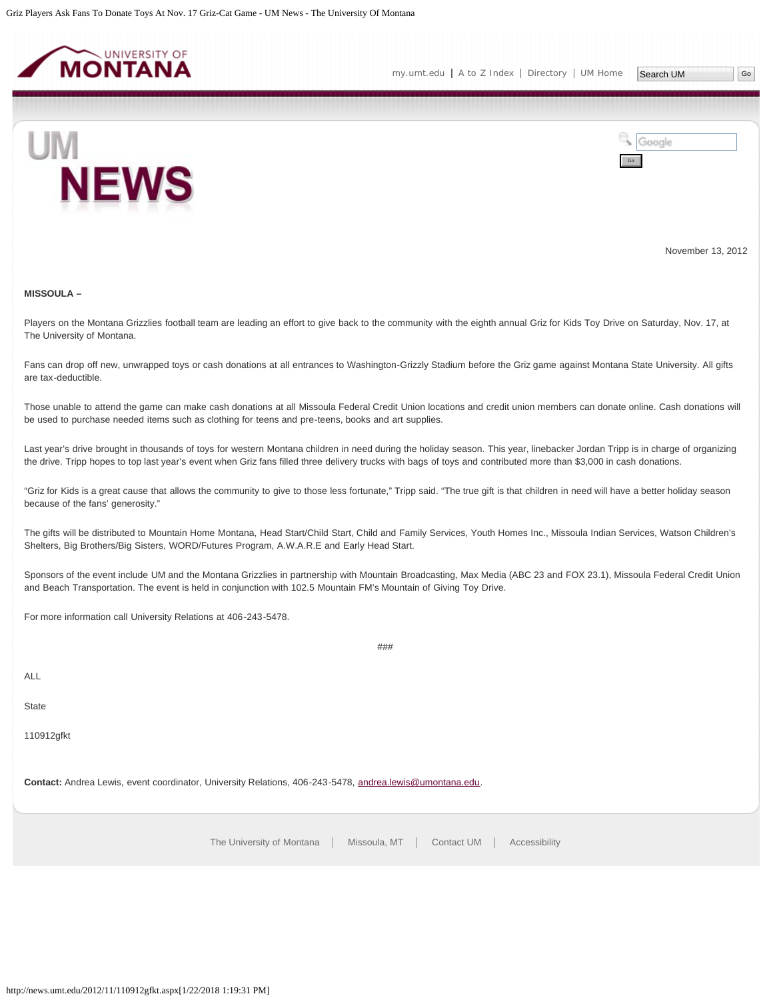<span id="page-35-0"></span>

Google

Go



November 13, 2012

#### **MISSOULA –**

Players on the Montana Grizzlies football team are leading an effort to give back to the community with the eighth annual Griz for Kids Toy Drive on Saturday, Nov. 17, at The University of Montana.

Fans can drop off new, unwrapped toys or cash donations at all entrances to Washington-Grizzly Stadium before the Griz game against Montana State University. All gifts are tax-deductible.

Those unable to attend the game can make cash donations at all Missoula Federal Credit Union locations and credit union members can donate online. Cash donations will be used to purchase needed items such as clothing for teens and pre-teens, books and art supplies.

Last year's drive brought in thousands of toys for western Montana children in need during the holiday season. This year, linebacker Jordan Tripp is in charge of organizing the drive. Tripp hopes to top last year's event when Griz fans filled three delivery trucks with bags of toys and contributed more than \$3,000 in cash donations.

"Griz for Kids is a great cause that allows the community to give to those less fortunate," Tripp said. "The true gift is that children in need will have a better holiday season because of the fans' generosity."

The gifts will be distributed to Mountain Home Montana, Head Start/Child Start, Child and Family Services, Youth Homes Inc., Missoula Indian Services, Watson Children's Shelters, Big Brothers/Big Sisters, WORD/Futures Program, A.W.A.R.E and Early Head Start.

Sponsors of the event include UM and the Montana Grizzlies in partnership with Mountain Broadcasting, Max Media (ABC 23 and FOX 23.1), Missoula Federal Credit Union and Beach Transportation. The event is held in conjunction with 102.5 Mountain FM's Mountain of Giving Toy Drive.

###

For more information call University Relations at 406-243-5478.

ALL

**State** 

110912gfkt

**Contact:** Andrea Lewis, event coordinator, University Relations, 406-243-5478, [andrea.lewis@umontana.edu.](mailto:andrea.lewis@umontana.edu)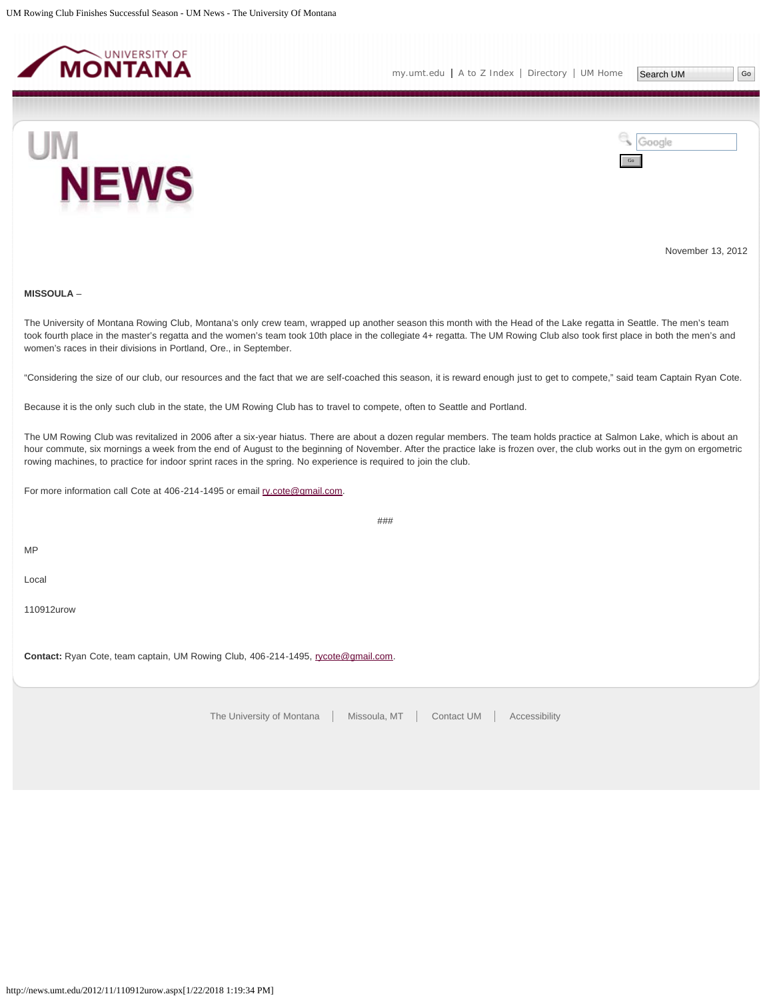<span id="page-36-0"></span>



November 13, 2012

# **MISSOULA** –

The University of Montana Rowing Club, Montana's only crew team, wrapped up another season this month with the Head of the Lake regatta in Seattle. The men's team took fourth place in the master's regatta and the women's team took 10th place in the collegiate 4+ regatta. The UM Rowing Club also took first place in both the men's and women's races in their divisions in Portland, Ore., in September.

"Considering the size of our club, our resources and the fact that we are self-coached this season, it is reward enough just to get to compete," said team Captain Ryan Cote.

Because it is the only such club in the state, the UM Rowing Club has to travel to compete, often to Seattle and Portland.

The UM Rowing Club was revitalized in 2006 after a six-year hiatus. There are about a dozen regular members. The team holds practice at Salmon Lake, which is about an hour commute, six mornings a week from the end of August to the beginning of November. After the practice lake is frozen over, the club works out in the gym on ergometric rowing machines, to practice for indoor sprint races in the spring. No experience is required to join the club.

###

For more information call Cote at 406-214-1495 or email [ry.cote@gmail.com](mailto:ry.cote@gmail.com).

MP

Local

110912urow

Contact: Ryan Cote, team captain, UM Rowing Club, 406-214-1495, [rycote@gmail.com.](mailto:rycote@gmail.com)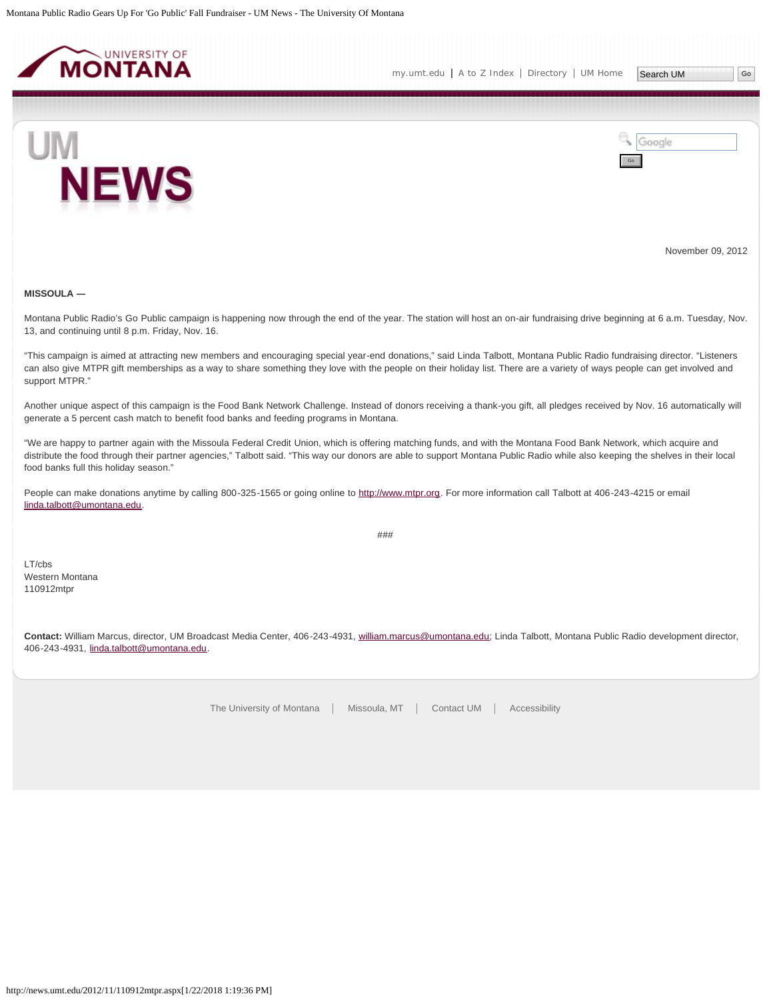<span id="page-37-0"></span>



November 09, 2012

#### **MISSOULA ―**

Montana Public Radio's Go Public campaign is happening now through the end of the year. The station will host an on-air fundraising drive beginning at 6 a.m. Tuesday, Nov. 13, and continuing until 8 p.m. Friday, Nov. 16.

"This campaign is aimed at attracting new members and encouraging special year-end donations," said Linda Talbott, Montana Public Radio fundraising director. "Listeners can also give MTPR gift memberships as a way to share something they love with the people on their holiday list. There are a variety of ways people can get involved and support MTPR."

Another unique aspect of this campaign is the Food Bank Network Challenge. Instead of donors receiving a thank-you gift, all pledges received by Nov. 16 automatically will generate a 5 percent cash match to benefit food banks and feeding programs in Montana.

"We are happy to partner again with the Missoula Federal Credit Union, which is offering matching funds, and with the Montana Food Bank Network, which acquire and distribute the food through their partner agencies," Talbott said. "This way our donors are able to support Montana Public Radio while also keeping the shelves in their local food banks full this holiday season."

People can make donations anytime by calling 800-325-1565 or going online to [http://www.mtpr.org](http://www.mtpr.org/). For more information call Talbott at 406-243-4215 or email [linda.talbott@umontana.edu](mailto:linda.talbott@umontana.edu).

###

LT/cbs Western Montana 110912mtpr

**Contact:** William Marcus, director, UM Broadcast Media Center, 406-243-4931, [william.marcus@umontana.edu;](mailto:william.marcus@umontana.edu) Linda Talbott, Montana Public Radio development director, 406-243-4931, [linda.talbott@umontana.edu](mailto:linda.talbott@umontana.edu).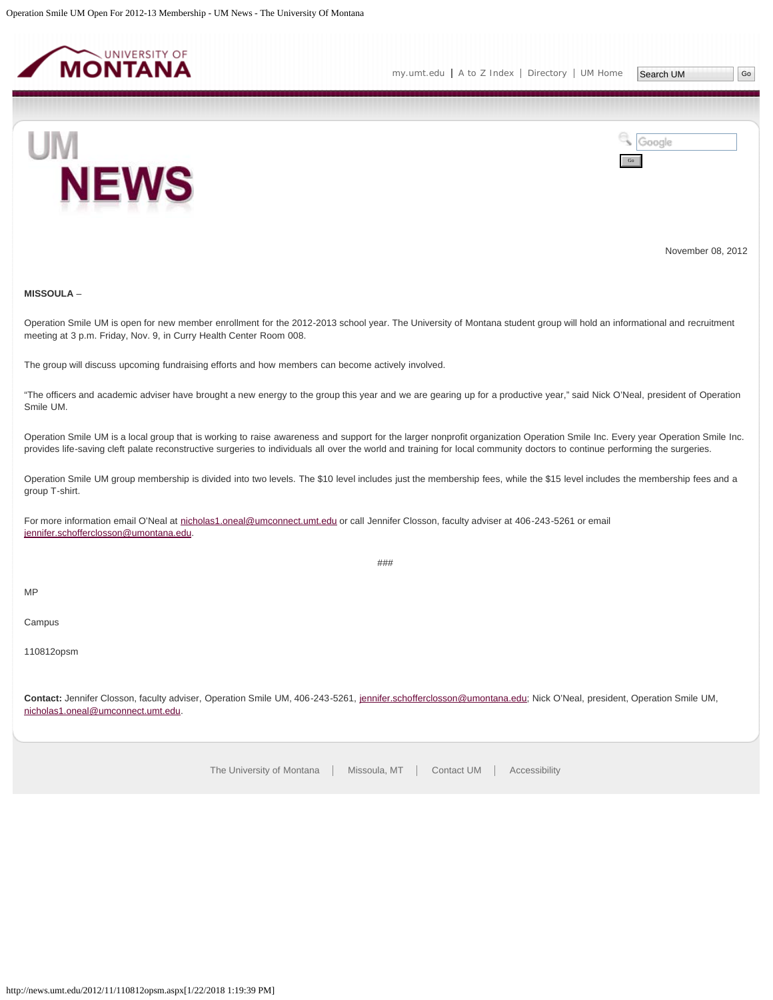<span id="page-38-0"></span>



November 08, 2012

## **MISSOULA** –

Operation Smile UM is open for new member enrollment for the 2012-2013 school year. The University of Montana student group will hold an informational and recruitment meeting at 3 p.m. Friday, Nov. 9, in Curry Health Center Room 008.

The group will discuss upcoming fundraising efforts and how members can become actively involved.

"The officers and academic adviser have brought a new energy to the group this year and we are gearing up for a productive year," said Nick O'Neal, president of Operation Smile UM.

Operation Smile UM is a local group that is working to raise awareness and support for the larger nonprofit organization Operation Smile Inc. Every year Operation Smile Inc. provides life-saving cleft palate reconstructive surgeries to individuals all over the world and training for local community doctors to continue performing the surgeries.

Operation Smile UM group membership is divided into two levels. The \$10 level includes just the membership fees, while the \$15 level includes the membership fees and a group T-shirt.

For more information email O'Neal at [nicholas1.oneal@umconnect.umt.edu](mailto:nicholas1.oneal@umconnect.umt.edu) or call Jennifer Closson, faculty adviser at 406-243-5261 or email [jennifer.schofferclosson@umontana.edu.](mailto:jennifer.schofferclosson@umontana.edu)

###

MP

Campus

110812opsm

**Contact:** Jennifer Closson, faculty adviser, Operation Smile UM, 406-243-5261, [jennifer.schofferclosson@umontana.edu;](mailto:jennifer.schofferclosson@umontana.edu) Nick O'Neal, president, Operation Smile UM, [nicholas1.oneal@umconnect.umt.edu](mailto:nicholas1.oneal@umconnect.umt.edu).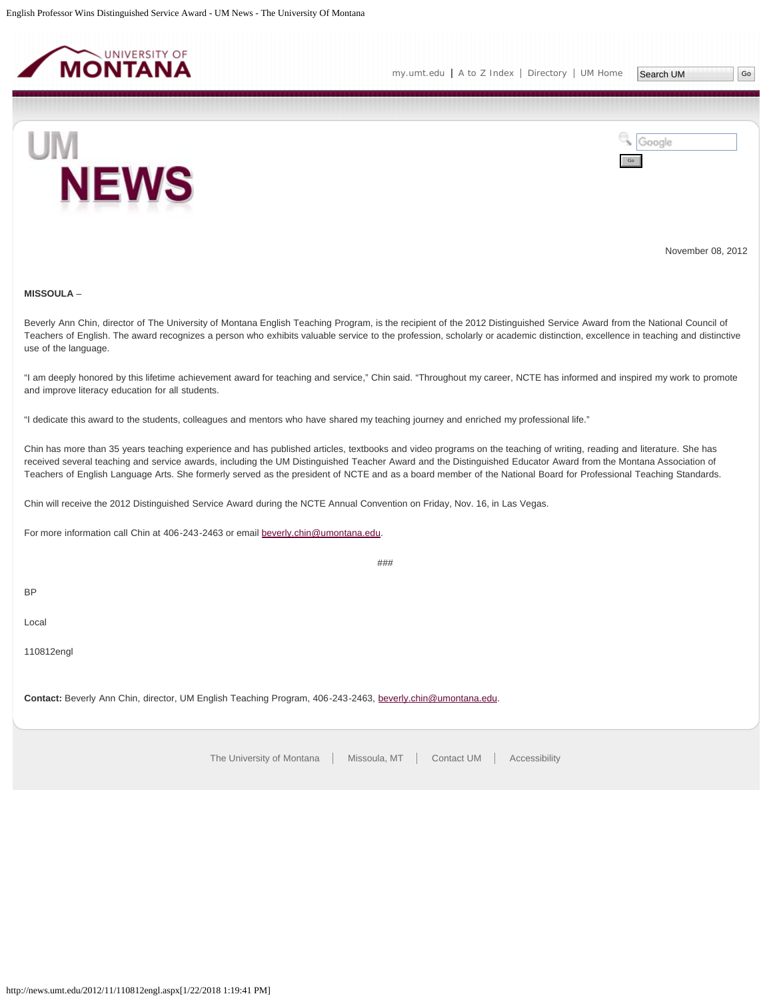<span id="page-39-0"></span>



November 08, 2012

# **MISSOULA** –

Beverly Ann Chin, director of The University of Montana English Teaching Program, is the recipient of the 2012 Distinguished Service Award from the National Council of Teachers of English. The award recognizes a person who exhibits valuable service to the profession, scholarly or academic distinction, excellence in teaching and distinctive use of the language.

"I am deeply honored by this lifetime achievement award for teaching and service," Chin said. "Throughout my career, NCTE has informed and inspired my work to promote and improve literacy education for all students.

"I dedicate this award to the students, colleagues and mentors who have shared my teaching journey and enriched my professional life."

Chin has more than 35 years teaching experience and has published articles, textbooks and video programs on the teaching of writing, reading and literature. She has received several teaching and service awards, including the UM Distinguished Teacher Award and the Distinguished Educator Award from the Montana Association of Teachers of English Language Arts. She formerly served as the president of NCTE and as a board member of the National Board for Professional Teaching Standards.

Chin will receive the 2012 Distinguished Service Award during the NCTE Annual Convention on Friday, Nov. 16, in Las Vegas.

For more information call Chin at 406-243-2463 or email [beverly.chin@umontana.edu](mailto:beverly.chin@umontana.edu).

###

BP

Local

110812engl

**Contact:** Beverly Ann Chin, director, UM English Teaching Program, 406-243-2463, [beverly.chin@umontana.edu](mailto:beverly.chin@umontana.edu).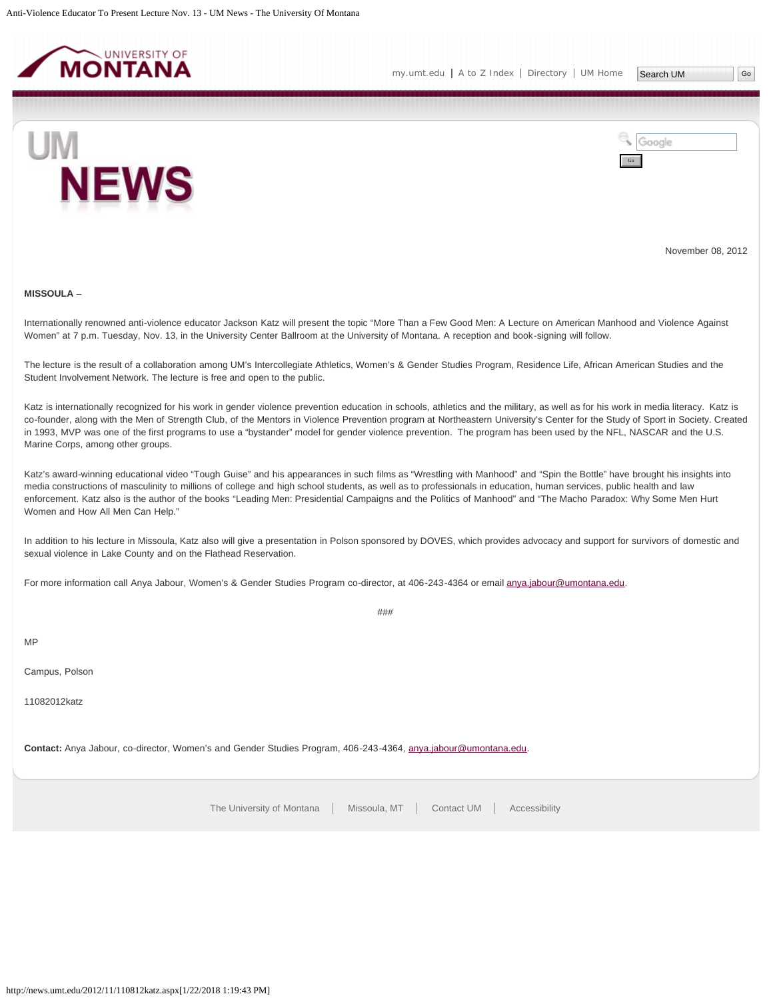<span id="page-40-0"></span>



November 08, 2012

#### **MISSOULA** –

Internationally renowned anti-violence educator Jackson Katz will present the topic "More Than a Few Good Men: A Lecture on American Manhood and Violence Against Women" at 7 p.m. Tuesday, Nov. 13, in the University Center Ballroom at the University of Montana. A reception and book-signing will follow.

The lecture is the result of a collaboration among UM's Intercollegiate Athletics, Women's & Gender Studies Program, Residence Life, African American Studies and the Student Involvement Network. The lecture is free and open to the public.

Katz is internationally recognized for his work in gender violence prevention education in schools, athletics and the military, as well as for his work in media literacy. Katz is co-founder, along with the Men of Strength Club, of the Mentors in Violence Prevention program at Northeastern University's Center for the Study of Sport in Society. Created in 1993, MVP was one of the first programs to use a "bystander" model for gender violence prevention. The program has been used by the NFL, NASCAR and the U.S. Marine Corps, among other groups.

Katz's award-winning educational video "Tough Guise" and his appearances in such films as "Wrestling with Manhood" and "Spin the Bottle" have brought his insights into media constructions of masculinity to millions of college and high school students, as well as to professionals in education, human services, public health and law enforcement. Katz also is the author of the books "Leading Men: Presidential Campaigns and the Politics of Manhood" and "The Macho Paradox: Why Some Men Hurt Women and How All Men Can Help."

In addition to his lecture in Missoula, Katz also will give a presentation in Polson sponsored by DOVES, which provides advocacy and support for survivors of domestic and sexual violence in Lake County and on the Flathead Reservation.

###

For more information call Anya Jabour, Women's & Gender Studies Program co-director, at 406-243-4364 or email [anya.jabour@umontana.edu](mailto:anya.jabour@umontana.edu).

MP

Campus, Polson

11082012katz

**Contact:** Anya Jabour, co-director, Women's and Gender Studies Program, 406-243-4364, [anya.jabour@umontana.edu.](mailto:anya.jabour@umontana.edu)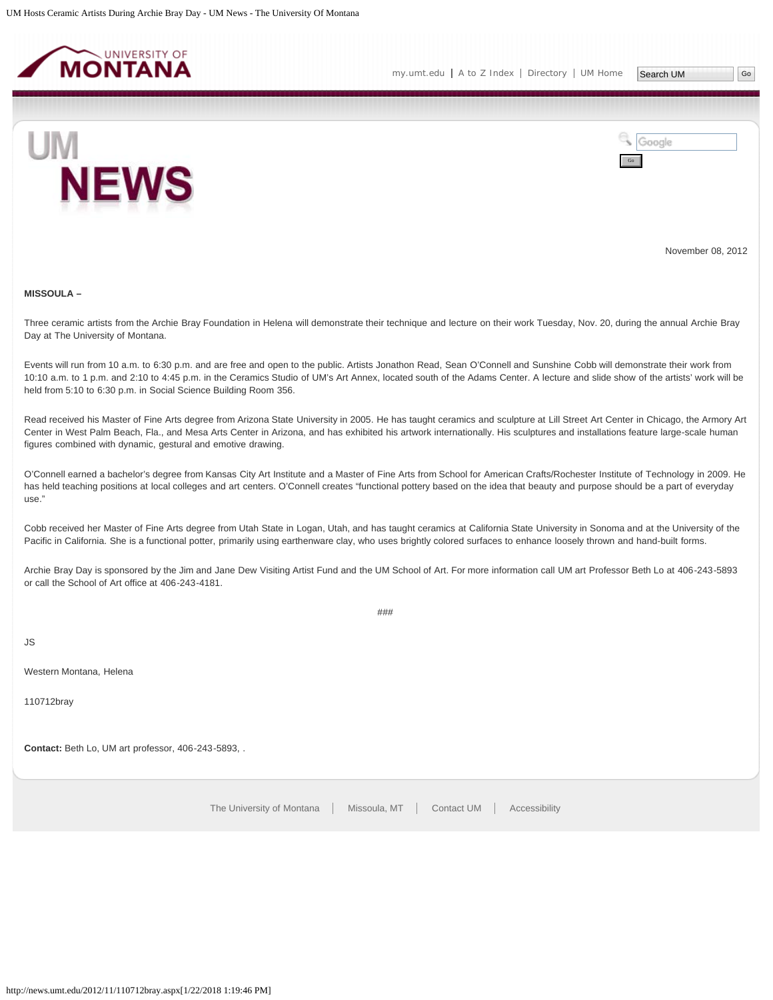<span id="page-41-0"></span>



November 08, 2012

#### **MISSOULA –**

Three ceramic artists from the Archie Bray Foundation in Helena will demonstrate their technique and lecture on their work Tuesday, Nov. 20, during the annual Archie Bray Day at The University of Montana.

Events will run from 10 a.m. to 6:30 p.m. and are free and open to the public. Artists Jonathon Read, Sean O'Connell and Sunshine Cobb will demonstrate their work from 10:10 a.m. to 1 p.m. and 2:10 to 4:45 p.m. in the Ceramics Studio of UM's Art Annex, located south of the Adams Center. A lecture and slide show of the artists' work will be held from 5:10 to 6:30 p.m. in Social Science Building Room 356.

Read received his Master of Fine Arts degree from Arizona State University in 2005. He has taught ceramics and sculpture at Lill Street Art Center in Chicago, the Armory Art Center in West Palm Beach, Fla., and Mesa Arts Center in Arizona, and has exhibited his artwork internationally. His sculptures and installations feature large-scale human figures combined with dynamic, gestural and emotive drawing.

O'Connell earned a bachelor's degree from Kansas City Art Institute and a Master of Fine Arts from School for American Crafts/Rochester Institute of Technology in 2009. He has held teaching positions at local colleges and art centers. O'Connell creates "functional pottery based on the idea that beauty and purpose should be a part of everyday  $_{11}$ se."

Cobb received her Master of Fine Arts degree from Utah State in Logan, Utah, and has taught ceramics at California State University in Sonoma and at the University of the Pacific in California. She is a functional potter, primarily using earthenware clay, who uses brightly colored surfaces to enhance loosely thrown and hand-built forms.

Archie Bray Day is sponsored by the Jim and Jane Dew Visiting Artist Fund and the UM School of Art. For more information call UM art Professor Beth Lo at 406-243-5893 or call the School of Art office at 406-243-4181.

###

JS

Western Montana, Helena

110712bray

**Contact:** Beth Lo, UM art professor, 406-243-5893, .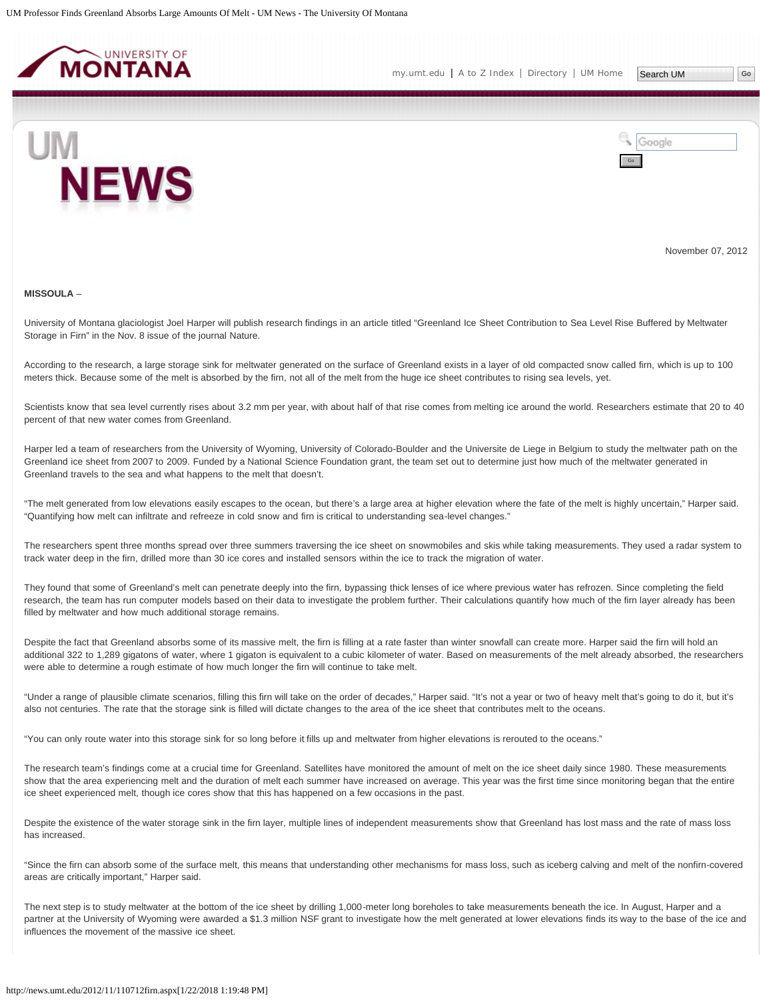<span id="page-42-0"></span>



November 07, 2012

#### **MISSOULA** –

University of Montana glaciologist Joel Harper will publish research findings in an article titled "Greenland Ice Sheet Contribution to Sea Level Rise Buffered by Meltwater Storage in Firn" in the Nov. 8 issue of the journal Nature.

According to the research, a large storage sink for meltwater generated on the surface of Greenland exists in a layer of old compacted snow called firn, which is up to 100 meters thick. Because some of the melt is absorbed by the firn, not all of the melt from the huge ice sheet contributes to rising sea levels, yet.

Scientists know that sea level currently rises about 3.2 mm per year, with about half of that rise comes from melting ice around the world. Researchers estimate that 20 to 40 percent of that new water comes from Greenland.

Harper led a team of researchers from the University of Wyoming, University of Colorado-Boulder and the Universite de Liege in Belgium to study the meltwater path on the Greenland ice sheet from 2007 to 2009. Funded by a National Science Foundation grant, the team set out to determine just how much of the meltwater generated in Greenland travels to the sea and what happens to the melt that doesn't.

"The melt generated from low elevations easily escapes to the ocean, but there's a large area at higher elevation where the fate of the melt is highly uncertain," Harper said. "Quantifying how melt can infiltrate and refreeze in cold snow and firn is critical to understanding sea-level changes."

The researchers spent three months spread over three summers traversing the ice sheet on snowmobiles and skis while taking measurements. They used a radar system to track water deep in the firn, drilled more than 30 ice cores and installed sensors within the ice to track the migration of water.

They found that some of Greenland's melt can penetrate deeply into the firn, bypassing thick lenses of ice where previous water has refrozen. Since completing the field research, the team has run computer models based on their data to investigate the problem further. Their calculations quantify how much of the firn layer already has been filled by meltwater and how much additional storage remains.

Despite the fact that Greenland absorbs some of its massive melt, the firn is filling at a rate faster than winter snowfall can create more. Harper said the firn will hold an additional 322 to 1,289 gigatons of water, where 1 gigaton is equivalent to a cubic kilometer of water. Based on measurements of the melt already absorbed, the researchers were able to determine a rough estimate of how much longer the firn will continue to take melt.

"Under a range of plausible climate scenarios, filling this firn will take on the order of decades," Harper said. "It's not a year or two of heavy melt that's going to do it, but it's also not centuries. The rate that the storage sink is filled will dictate changes to the area of the ice sheet that contributes melt to the oceans.

"You can only route water into this storage sink for so long before it fills up and meltwater from higher elevations is rerouted to the oceans."

The research team's findings come at a crucial time for Greenland. Satellites have monitored the amount of melt on the ice sheet daily since 1980. These measurements show that the area experiencing melt and the duration of melt each summer have increased on average. This year was the first time since monitoring began that the entire ice sheet experienced melt, though ice cores show that this has happened on a few occasions in the past.

Despite the existence of the water storage sink in the firn layer, multiple lines of independent measurements show that Greenland has lost mass and the rate of mass loss has increased.

"Since the firn can absorb some of the surface melt, this means that understanding other mechanisms for mass loss, such as iceberg calving and melt of the nonfirn-covered areas are critically important," Harper said.

The next step is to study meltwater at the bottom of the ice sheet by drilling 1,000-meter long boreholes to take measurements beneath the ice. In August, Harper and a partner at the University of Wyoming were awarded a \$1.3 million NSF grant to investigate how the melt generated at lower elevations finds its way to the base of the ice and influences the movement of the massive ice sheet.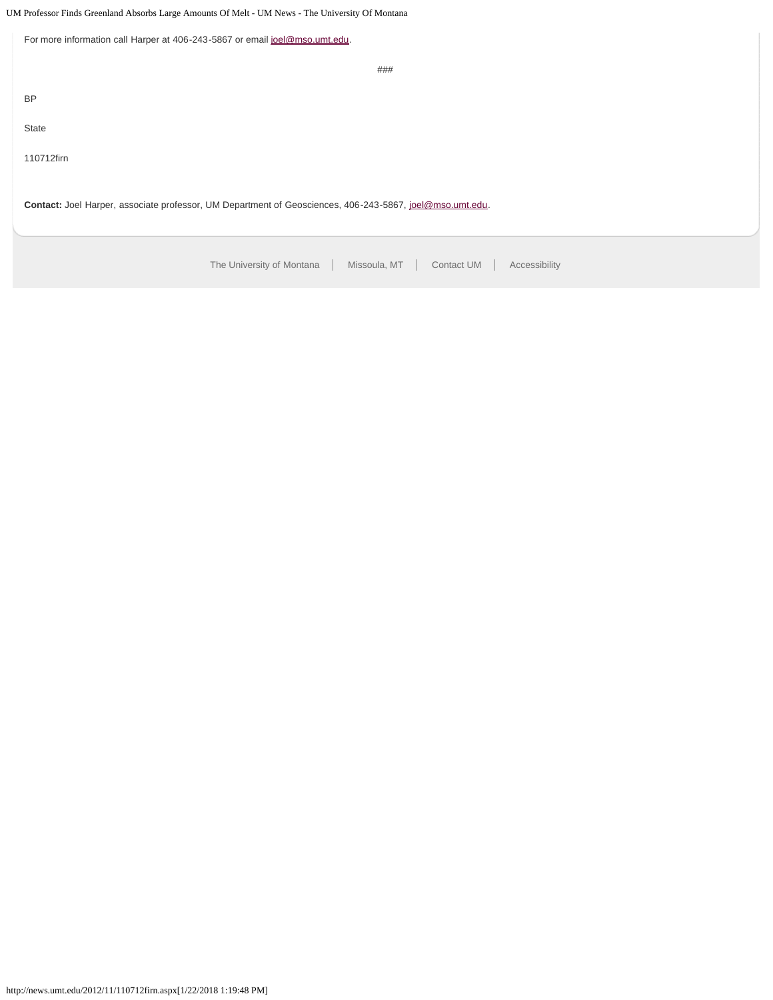# UM Professor Finds Greenland Absorbs Large Amounts Of Melt - UM News - The University Of Montana

| For more information call Harper at 406-243-5867 or email joel@mso.umt.edu.                              |
|----------------------------------------------------------------------------------------------------------|
| ###                                                                                                      |
| <b>BP</b>                                                                                                |
| State                                                                                                    |
| 110712firn                                                                                               |
| Contact: Joel Harper, associate professor, UM Department of Geosciences, 406-243-5867, joel@mso.umt.edu. |
| The University of Montana<br>Missoula, MT<br>Contact UM<br>Accessibility                                 |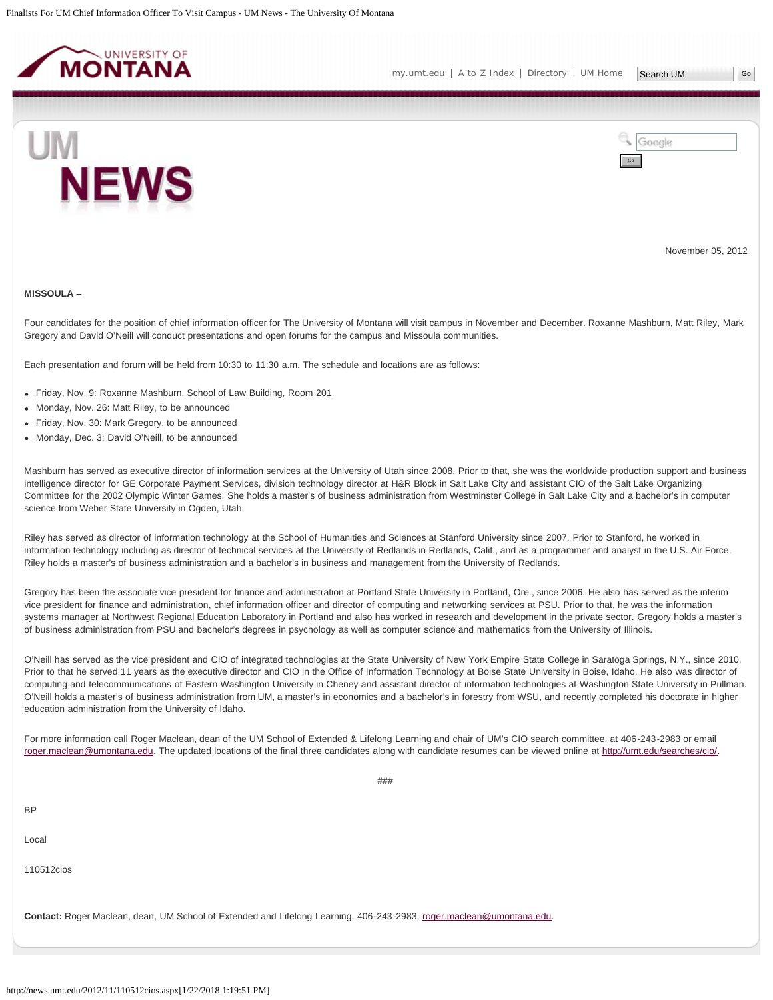<span id="page-44-0"></span>



November 05, 2012

#### **MISSOULA** –

Four candidates for the position of chief information officer for The University of Montana will visit campus in November and December. Roxanne Mashburn, Matt Riley, Mark Gregory and David O'Neill will conduct presentations and open forums for the campus and Missoula communities.

Each presentation and forum will be held from 10:30 to 11:30 a.m. The schedule and locations are as follows:

- Friday, Nov. 9: Roxanne Mashburn, School of Law Building, Room 201
- Monday, Nov. 26: Matt Riley, to be announced
- Friday, Nov. 30: Mark Gregory, to be announced
- Monday, Dec. 3: David O'Neill, to be announced

Mashburn has served as executive director of information services at the University of Utah since 2008. Prior to that, she was the worldwide production support and business intelligence director for GE Corporate Payment Services, division technology director at H&R Block in Salt Lake City and assistant CIO of the Salt Lake Organizing Committee for the 2002 Olympic Winter Games. She holds a master's of business administration from Westminster College in Salt Lake City and a bachelor's in computer science from Weber State University in Ogden, Utah.

Riley has served as director of information technology at the School of Humanities and Sciences at Stanford University since 2007. Prior to Stanford, he worked in information technology including as director of technical services at the University of Redlands in Redlands, Calif., and as a programmer and analyst in the U.S. Air Force. Riley holds a master's of business administration and a bachelor's in business and management from the University of Redlands.

Gregory has been the associate vice president for finance and administration at Portland State University in Portland, Ore., since 2006. He also has served as the interim vice president for finance and administration, chief information officer and director of computing and networking services at PSU. Prior to that, he was the information systems manager at Northwest Regional Education Laboratory in Portland and also has worked in research and development in the private sector. Gregory holds a master's of business administration from PSU and bachelor's degrees in psychology as well as computer science and mathematics from the University of Illinois.

O'Neill has served as the vice president and CIO of integrated technologies at the State University of New York Empire State College in Saratoga Springs, N.Y., since 2010. Prior to that he served 11 years as the executive director and CIO in the Office of Information Technology at Boise State University in Boise, Idaho. He also was director of computing and telecommunications of Eastern Washington University in Cheney and assistant director of information technologies at Washington State University in Pullman. O'Neill holds a master's of business administration from UM, a master's in economics and a bachelor's in forestry from WSU, and recently completed his doctorate in higher education administration from the University of Idaho.

For more information call Roger Maclean, dean of the UM School of Extended & Lifelong Learning and chair of UM's CIO search committee, at 406-243-2983 or email [roger.maclean@umontana.edu](mailto:roger.maclean@umontana.edu). The updated locations of the final three candidates along with candidate resumes can be viewed online at<http://umt.edu/searches/cio/>.

BP Local 110512cios **Contact:** Roger Maclean, dean, UM School of Extended and Lifelong Learning, 406-243-2983, [roger.maclean@umontana.edu](mailto:roger.maclean@umontana.edu).

###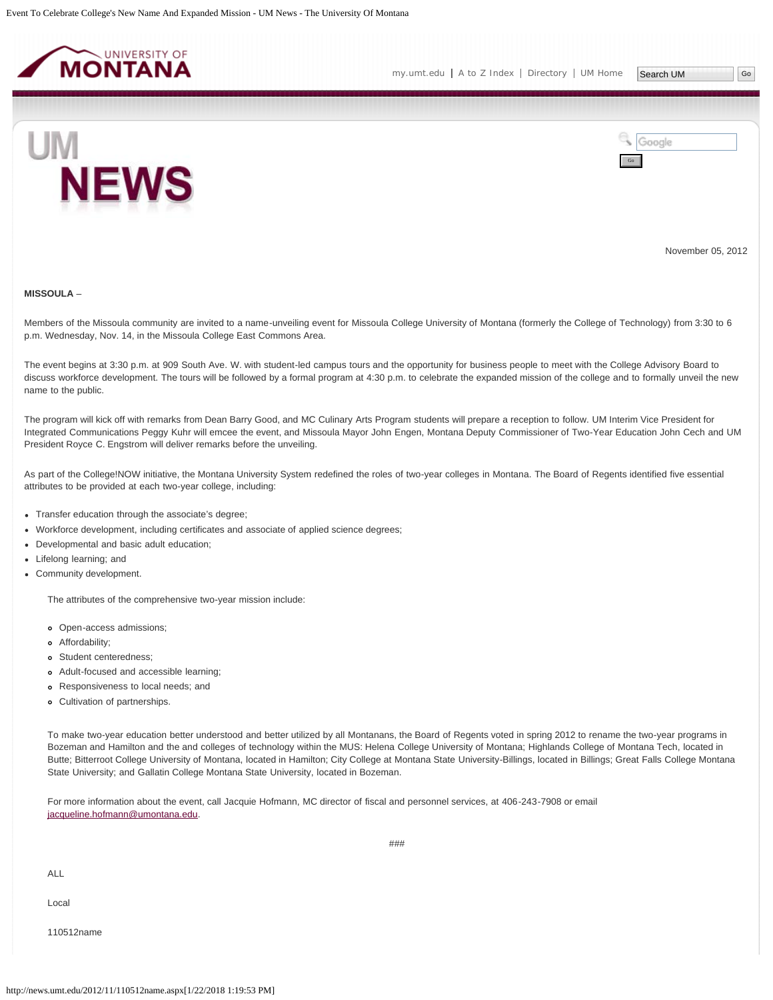<span id="page-46-0"></span>



November 05, 2012

#### **MISSOULA** –

Members of the Missoula community are invited to a name-unveiling event for Missoula College University of Montana (formerly the College of Technology) from 3:30 to 6 p.m. Wednesday, Nov. 14, in the Missoula College East Commons Area.

The event begins at 3:30 p.m. at 909 South Ave. W. with student-led campus tours and the opportunity for business people to meet with the College Advisory Board to discuss workforce development. The tours will be followed by a formal program at 4:30 p.m. to celebrate the expanded mission of the college and to formally unveil the new name to the public.

The program will kick off with remarks from Dean Barry Good, and MC Culinary Arts Program students will prepare a reception to follow. UM Interim Vice President for Integrated Communications Peggy Kuhr will emcee the event, and Missoula Mayor John Engen, Montana Deputy Commissioner of Two-Year Education John Cech and UM President Royce C. Engstrom will deliver remarks before the unveiling.

As part of the College!NOW initiative, the Montana University System redefined the roles of two-year colleges in Montana. The Board of Regents identified five essential attributes to be provided at each two-year college, including:

- Transfer education through the associate's degree;
- Workforce development, including certificates and associate of applied science degrees;
- Developmental and basic adult education;
- Lifelong learning; and
- Community development.

The attributes of the comprehensive two-year mission include:

- Open-access admissions;
- Affordability;
- Student centeredness;
- Adult-focused and accessible learning;
- Responsiveness to local needs; and
- Cultivation of partnerships.

To make two-year education better understood and better utilized by all Montanans, the Board of Regents voted in spring 2012 to rename the two-year programs in Bozeman and Hamilton and the and colleges of technology within the MUS: Helena College University of Montana; Highlands College of Montana Tech, located in Butte; Bitterroot College University of Montana, located in Hamilton; City College at Montana State University-Billings, located in Billings; Great Falls College Montana State University; and Gallatin College Montana State University, located in Bozeman.

For more information about the event, call Jacquie Hofmann, MC director of fiscal and personnel services, at 406-243-7908 or email [jacqueline.hofmann@umontana.edu.](mailto:jacqueline.hofmann@umontana.edu)

ALL

Local

110512name

###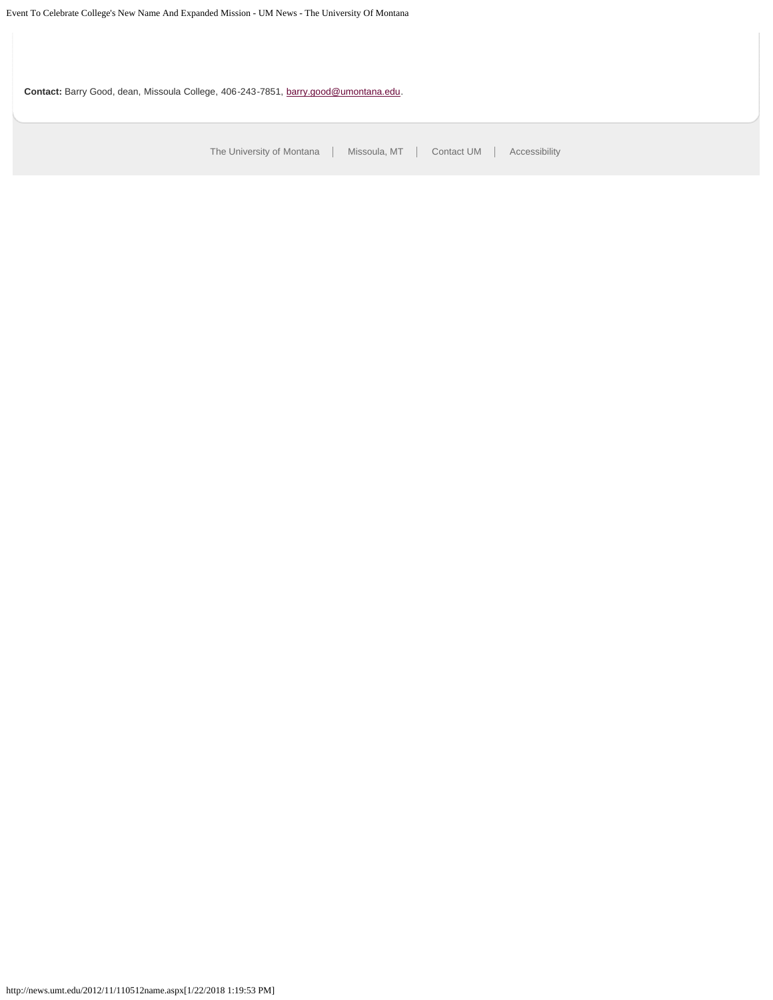**Contact:** Barry Good, dean, Missoula College, 406-243-7851, [barry.good@umontana.edu.](mailto:barry.good@umontana.edu)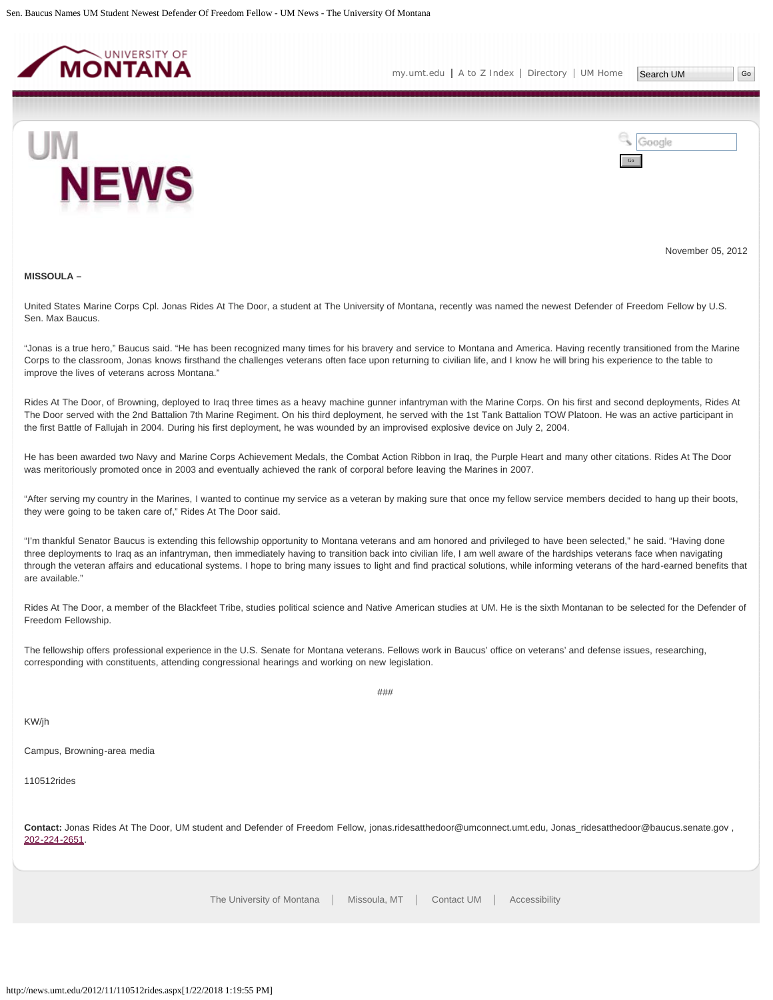<span id="page-48-0"></span>

Google



Go

November 05, 2012

#### **MISSOULA –**

United States Marine Corps Cpl. Jonas Rides At The Door, a student at The University of Montana, recently was named the newest Defender of Freedom Fellow by U.S. Sen. Max Baucus.

"Jonas is a true hero," Baucus said. "He has been recognized many times for his bravery and service to Montana and America. Having recently transitioned from the Marine Corps to the classroom, Jonas knows firsthand the challenges veterans often face upon returning to civilian life, and I know he will bring his experience to the table to improve the lives of veterans across Montana."

Rides At The Door, of Browning, deployed to Iraq three times as a heavy machine gunner infantryman with the Marine Corps. On his first and second deployments, Rides At The Door served with the 2nd Battalion 7th Marine Regiment. On his third deployment, he served with the 1st Tank Battalion TOW Platoon. He was an active participant in the first Battle of Fallujah in 2004. During his first deployment, he was wounded by an improvised explosive device on July 2, 2004.

He has been awarded two Navy and Marine Corps Achievement Medals, the Combat Action Ribbon in Iraq, the Purple Heart and many other citations. Rides At The Door was meritoriously promoted once in 2003 and eventually achieved the rank of corporal before leaving the Marines in 2007.

"After serving my country in the Marines, I wanted to continue my service as a veteran by making sure that once my fellow service members decided to hang up their boots, they were going to be taken care of," Rides At The Door said.

"I'm thankful Senator Baucus is extending this fellowship opportunity to Montana veterans and am honored and privileged to have been selected," he said. "Having done three deployments to Iraq as an infantryman, then immediately having to transition back into civilian life, I am well aware of the hardships veterans face when navigating through the veteran affairs and educational systems. I hope to bring many issues to light and find practical solutions, while informing veterans of the hard-earned benefits that are available."

Rides At The Door, a member of the Blackfeet Tribe, studies political science and Native American studies at UM. He is the sixth Montanan to be selected for the Defender of Freedom Fellowship.

The fellowship offers professional experience in the U.S. Senate for Montana veterans. Fellows work in Baucus' office on veterans' and defense issues, researching, corresponding with constituents, attending congressional hearings and working on new legislation.

###

KW/jh

Campus, Browning-area media

110512rides

Contact: Jonas Rides At The Door, UM student and Defender of Freedom Fellow, jonas.ridesatthedoor@umconnect.umt.edu, Jonas\_ridesatthedoor@baucus.senate.gov , [202-224-2651](mailto:202-224-2651).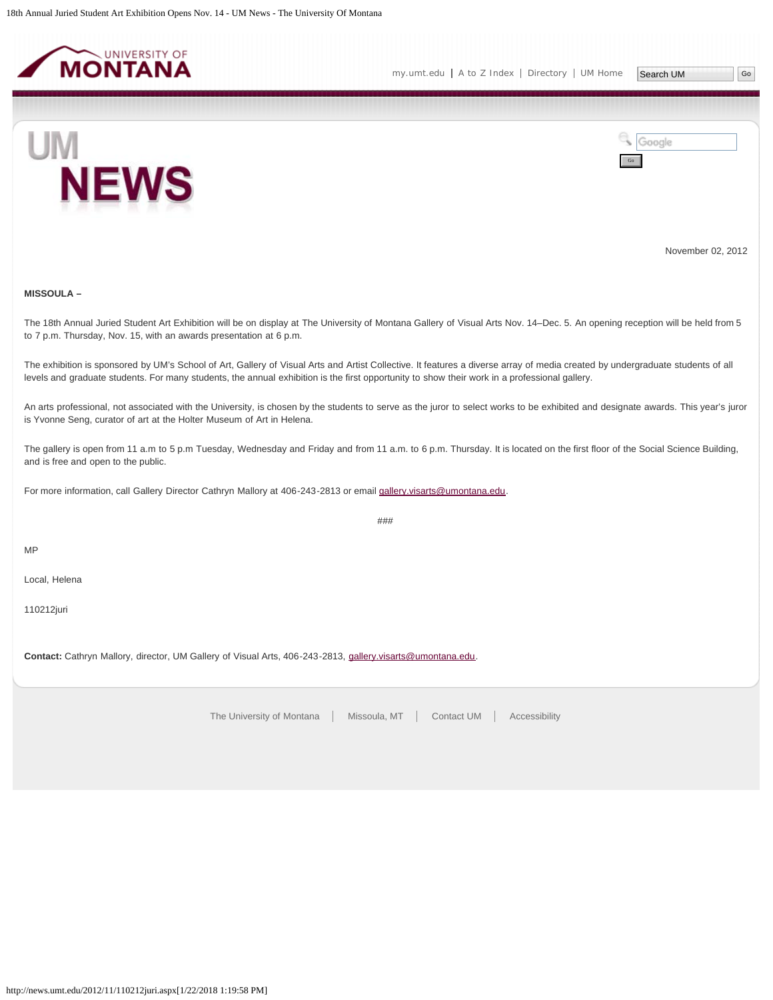<span id="page-49-0"></span>



November 02, 2012

# **MISSOULA –**

The 18th Annual Juried Student Art Exhibition will be on display at The University of Montana Gallery of Visual Arts Nov. 14–Dec. 5. An opening reception will be held from 5 to 7 p.m. Thursday, Nov. 15, with an awards presentation at 6 p.m.

The exhibition is sponsored by UM's School of Art, Gallery of Visual Arts and Artist Collective. It features a diverse array of media created by undergraduate students of all levels and graduate students. For many students, the annual exhibition is the first opportunity to show their work in a professional gallery.

An arts professional, not associated with the University, is chosen by the students to serve as the juror to select works to be exhibited and designate awards. This year's juror is Yvonne Seng, curator of art at the Holter Museum of Art in Helena.

The gallery is open from 11 a.m to 5 p.m Tuesday, Wednesday and Friday and from 11 a.m. to 6 p.m. Thursday. It is located on the first floor of the Social Science Building, and is free and open to the public.

For more information, call Gallery Director Cathryn Mallory at 406-243-2813 or email [gallery.visarts@umontana.edu](mailto:gallery.visarts@umontana.edu).

###

MP

Local, Helena

110212juri

**Contact:** Cathryn Mallory, director, UM Gallery of Visual Arts, 406-243-2813, [gallery.visarts@umontana.edu](mailto:gallery.visarts@umontana.edu).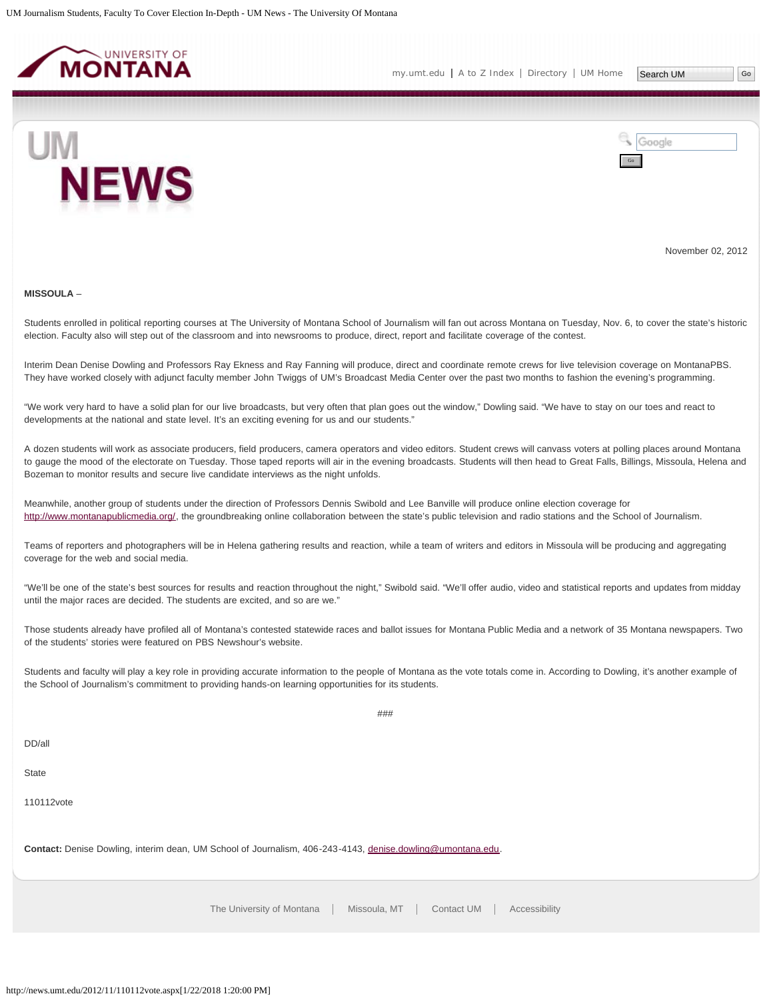<span id="page-50-0"></span>





November 02, 2012

#### **MISSOULA** –

Students enrolled in political reporting courses at The University of Montana School of Journalism will fan out across Montana on Tuesday, Nov. 6, to cover the state's historic election. Faculty also will step out of the classroom and into newsrooms to produce, direct, report and facilitate coverage of the contest.

Interim Dean Denise Dowling and Professors Ray Ekness and Ray Fanning will produce, direct and coordinate remote crews for live television coverage on MontanaPBS. They have worked closely with adjunct faculty member John Twiggs of UM's Broadcast Media Center over the past two months to fashion the evening's programming.

"We work very hard to have a solid plan for our live broadcasts, but very often that plan goes out the window," Dowling said. "We have to stay on our toes and react to developments at the national and state level. It's an exciting evening for us and our students."

A dozen students will work as associate producers, field producers, camera operators and video editors. Student crews will canvass voters at polling places around Montana to gauge the mood of the electorate on Tuesday. Those taped reports will air in the evening broadcasts. Students will then head to Great Falls, Billings, Missoula, Helena and Bozeman to monitor results and secure live candidate interviews as the night unfolds.

Meanwhile, another group of students under the direction of Professors Dennis Swibold and Lee Banville will produce online election coverage for <http://www.montanapublicmedia.org/>, the groundbreaking online collaboration between the state's public television and radio stations and the School of Journalism.

Teams of reporters and photographers will be in Helena gathering results and reaction, while a team of writers and editors in Missoula will be producing and aggregating coverage for the web and social media.

"We'll be one of the state's best sources for results and reaction throughout the night," Swibold said. "We'll offer audio, video and statistical reports and updates from midday until the major races are decided. The students are excited, and so are we."

Those students already have profiled all of Montana's contested statewide races and ballot issues for Montana Public Media and a network of 35 Montana newspapers. Two of the students' stories were featured on PBS Newshour's website.

Students and faculty will play a key role in providing accurate information to the people of Montana as the vote totals come in. According to Dowling, it's another example of the School of Journalism's commitment to providing hands-on learning opportunities for its students.

###

DD/all

**State** 

110112vote

**Contact:** Denise Dowling, interim dean, UM School of Journalism, 406-243-4143, [denise.dowling@umontana.edu.](mailto:denise.dowling@umontana.edu)